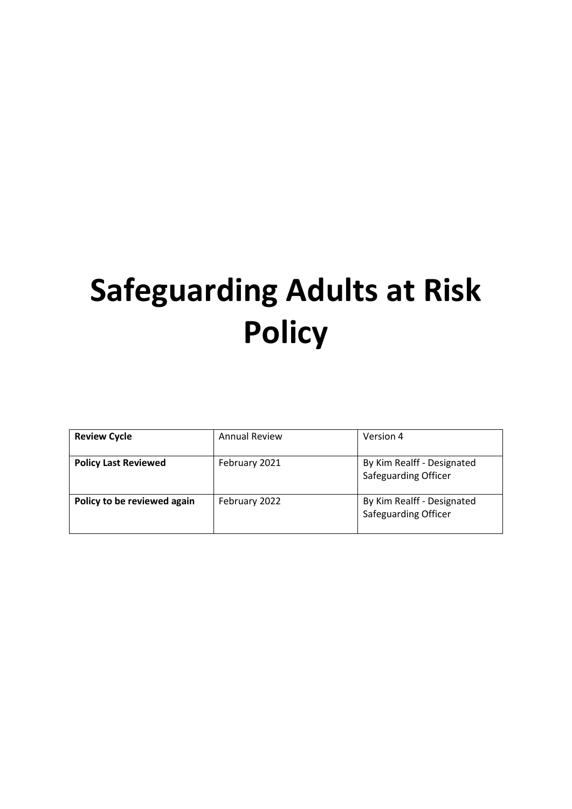# **Safeguarding Adults at Risk Policy**

| <b>Review Cycle</b>         | <b>Annual Review</b> | Version 4                                                 |
|-----------------------------|----------------------|-----------------------------------------------------------|
| <b>Policy Last Reviewed</b> | February 2021        | By Kim Realff - Designated<br><b>Safeguarding Officer</b> |
| Policy to be reviewed again | February 2022        | By Kim Realff - Designated<br>Safeguarding Officer        |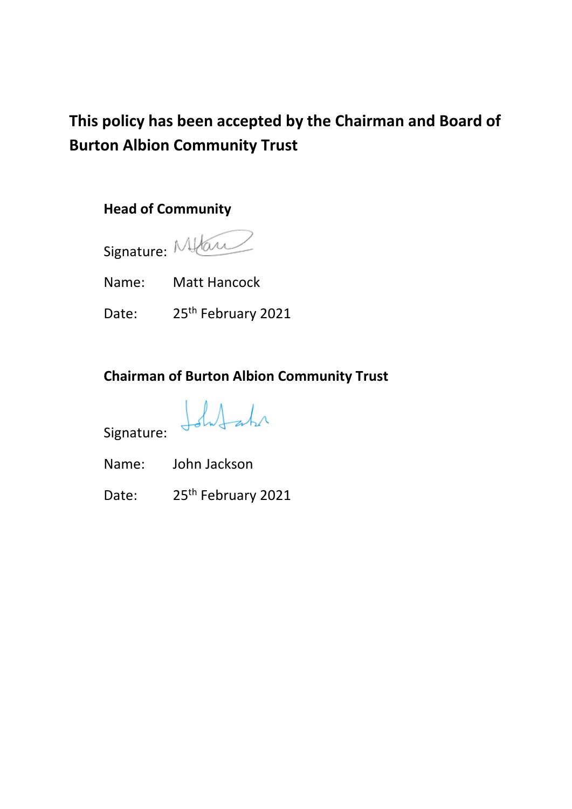# **This policy has been accepted by the Chairman and Board of Burton Albion Community Trust**

## **Head of Community**



Name: Matt Hancock

Date: 25<sup>th</sup> February 2021

# **Chairman of Burton Albion Community Trust**

Ishlahr

Signature:

Name: John Jackson

Date: 25<sup>th</sup> February 2021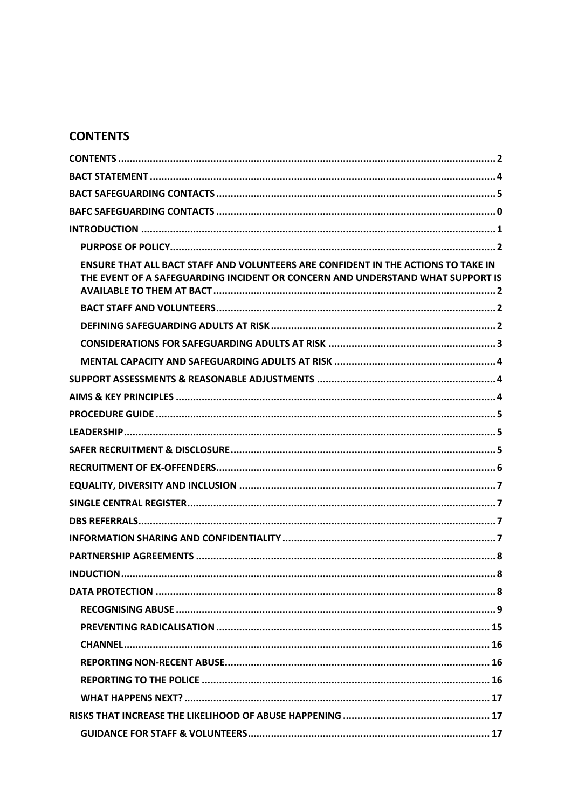## <span id="page-2-0"></span>**CONTENTS**

| ENSURE THAT ALL BACT STAFF AND VOLUNTEERS ARE CONFIDENT IN THE ACTIONS TO TAKE IN<br>THE EVENT OF A SAFEGUARDING INCIDENT OR CONCERN AND UNDERSTAND WHAT SUPPORT IS |
|---------------------------------------------------------------------------------------------------------------------------------------------------------------------|
|                                                                                                                                                                     |
|                                                                                                                                                                     |
|                                                                                                                                                                     |
|                                                                                                                                                                     |
|                                                                                                                                                                     |
|                                                                                                                                                                     |
|                                                                                                                                                                     |
|                                                                                                                                                                     |
|                                                                                                                                                                     |
|                                                                                                                                                                     |
|                                                                                                                                                                     |
|                                                                                                                                                                     |
|                                                                                                                                                                     |
|                                                                                                                                                                     |
|                                                                                                                                                                     |
|                                                                                                                                                                     |
|                                                                                                                                                                     |
|                                                                                                                                                                     |
|                                                                                                                                                                     |
|                                                                                                                                                                     |
|                                                                                                                                                                     |
|                                                                                                                                                                     |
|                                                                                                                                                                     |
|                                                                                                                                                                     |
|                                                                                                                                                                     |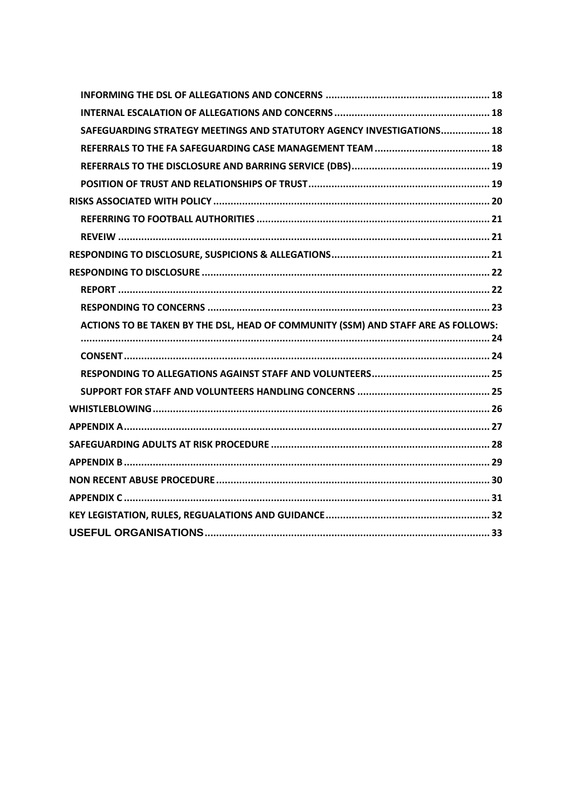| SAFEGUARDING STRATEGY MEETINGS AND STATUTORY AGENCY INVESTIGATIONS 18             |  |
|-----------------------------------------------------------------------------------|--|
|                                                                                   |  |
|                                                                                   |  |
|                                                                                   |  |
|                                                                                   |  |
|                                                                                   |  |
|                                                                                   |  |
|                                                                                   |  |
|                                                                                   |  |
|                                                                                   |  |
|                                                                                   |  |
| ACTIONS TO BE TAKEN BY THE DSL, HEAD OF COMMUNITY (SSM) AND STAFF ARE AS FOLLOWS: |  |
|                                                                                   |  |
|                                                                                   |  |
|                                                                                   |  |
|                                                                                   |  |
|                                                                                   |  |
|                                                                                   |  |
|                                                                                   |  |
|                                                                                   |  |
|                                                                                   |  |
|                                                                                   |  |
|                                                                                   |  |
|                                                                                   |  |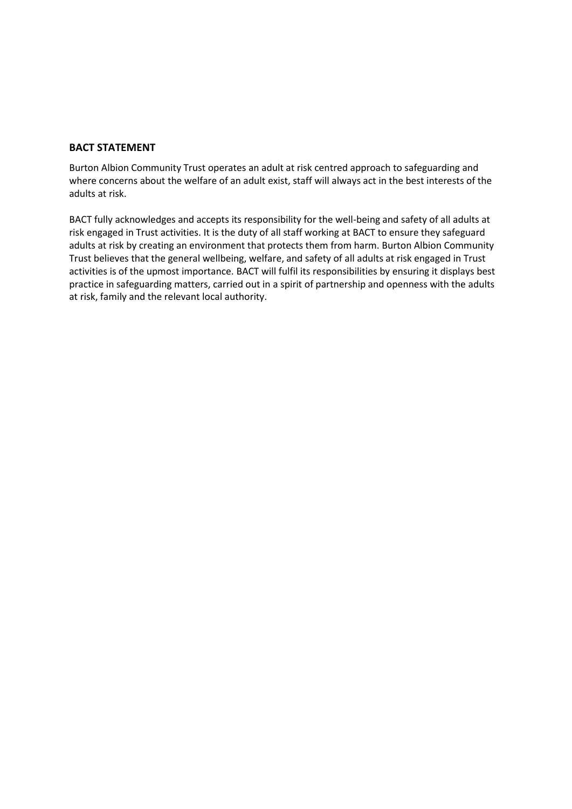#### <span id="page-4-0"></span>**BACT STATEMENT**

Burton Albion Community Trust operates an adult at risk centred approach to safeguarding and where concerns about the welfare of an adult exist, staff will always act in the best interests of the adults at risk.

BACT fully acknowledges and accepts its responsibility for the well-being and safety of all adults at risk engaged in Trust activities. It is the duty of all staff working at BACT to ensure they safeguard adults at risk by creating an environment that protects them from harm. Burton Albion Community Trust believes that the general wellbeing, welfare, and safety of all adults at risk engaged in Trust activities is of the upmost importance. BACT will fulfil its responsibilities by ensuring it displays best practice in safeguarding matters, carried out in a spirit of partnership and openness with the adults at risk, family and the relevant local authority.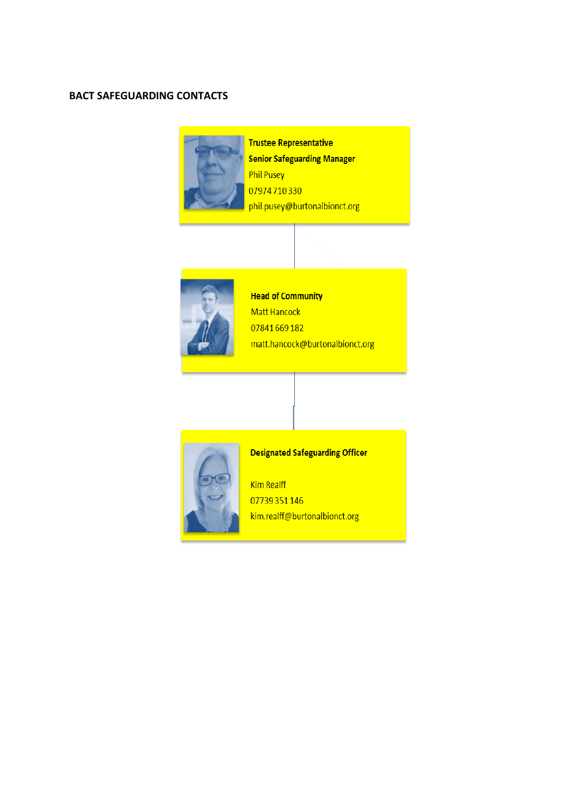#### <span id="page-5-0"></span>**BACT SAFEGUARDING CONTACTS**



**Trustee Representative Senior Safeguarding Manager Phil Pusey** 07974710330 phil.pusey@burtonalbionct.org



**Head of Community** Matt Hancock 07841669182 matt.hancock@burtonalbionct.org



## **Designated Safeguarding Officer**

**Kim Realff** 07739351146 kim.realff@burtonalbionct.org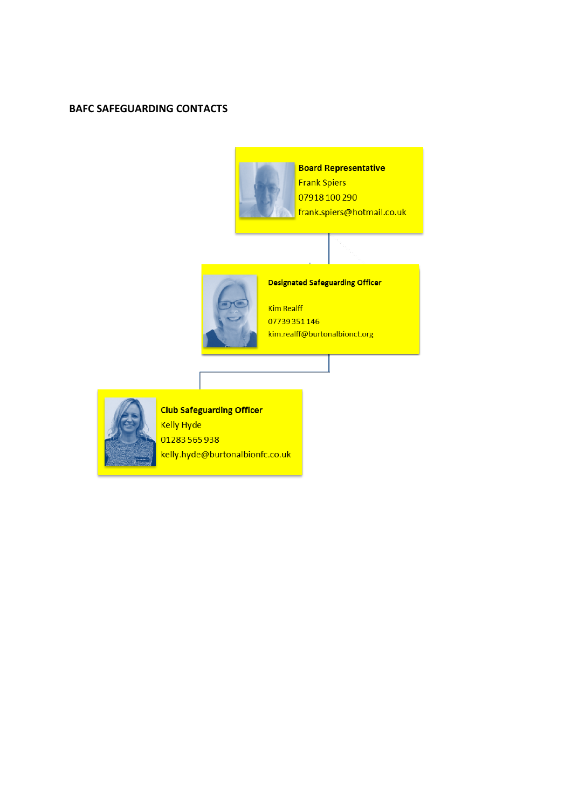#### <span id="page-6-0"></span>**BAFC SAFEGUARDING CONTACTS**





## **Designated Safeguarding Officer**

**Kim Realff** 07739351146 kim.realff@burtonalbionct.org



**Club Safeguarding Officer Kelly Hyde** 01283565938 kelly.hyde@burtonalbionfc.co.uk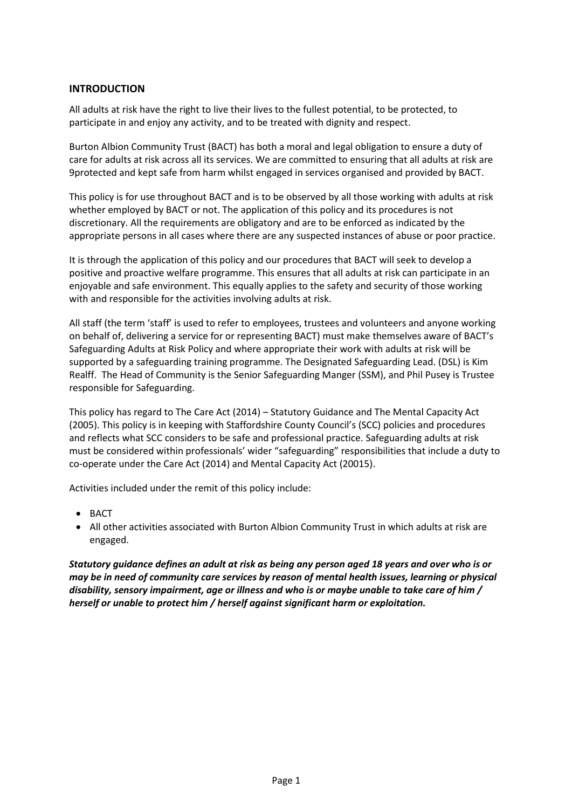#### <span id="page-7-0"></span>**INTRODUCTION**

All adults at risk have the right to live their lives to the fullest potential, to be protected, to participate in and enjoy any activity, and to be treated with dignity and respect.

Burton Albion Community Trust (BACT) has both a moral and legal obligation to ensure a duty of care for adults at risk across all its services. We are committed to ensuring that all adults at risk are 9protected and kept safe from harm whilst engaged in services organised and provided by BACT.

This policy is for use throughout BACT and is to be observed by all those working with adults at risk whether employed by BACT or not. The application of this policy and its procedures is not discretionary. All the requirements are obligatory and are to be enforced as indicated by the appropriate persons in all cases where there are any suspected instances of abuse or poor practice.

It is through the application of this policy and our procedures that BACT will seek to develop a positive and proactive welfare programme. This ensures that all adults at risk can participate in an enjoyable and safe environment. This equally applies to the safety and security of those working with and responsible for the activities involving adults at risk.

All staff (the term 'staff' is used to refer to employees, trustees and volunteers and anyone working on behalf of, delivering a service for or representing BACT) must make themselves aware of BACT's Safeguarding Adults at Risk Policy and where appropriate their work with adults at risk will be supported by a safeguarding training programme. The Designated Safeguarding Lead. (DSL) is Kim Realff. The Head of Community is the Senior Safeguarding Manger (SSM), and Phil Pusey is Trustee responsible for Safeguarding.

This policy has regard to The Care Act (2014) – Statutory Guidance and The Mental Capacity Act (2005). This policy is in keeping with Staffordshire County Council's (SCC) policies and procedures and reflects what SCC considers to be safe and professional practice. Safeguarding adults at risk must be considered within professionals' wider "safeguarding" responsibilities that include a duty to co-operate under the Care Act (2014) and Mental Capacity Act (20015).

Activities included under the remit of this policy include:

- BACT
- All other activities associated with Burton Albion Community Trust in which adults at risk are engaged.

*Statutory guidance defines an adult at risk as being any person aged 18 years and over who is or may be in need of community care services by reason of mental health issues, learning or physical disability, sensory impairment, age or illness and who is or maybe unable to take care of him / herself or unable to protect him / herself against significant harm or exploitation.*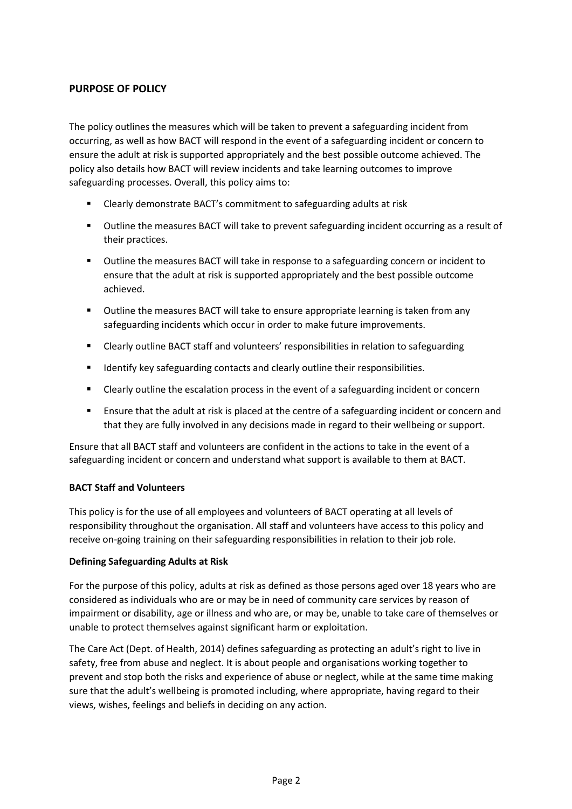#### <span id="page-8-0"></span>**PURPOSE OF POLICY**

The policy outlines the measures which will be taken to prevent a safeguarding incident from occurring, as well as how BACT will respond in the event of a safeguarding incident or concern to ensure the adult at risk is supported appropriately and the best possible outcome achieved. The policy also details how BACT will review incidents and take learning outcomes to improve safeguarding processes. Overall, this policy aims to:

- Clearly demonstrate BACT's commitment to safeguarding adults at risk
- Outline the measures BACT will take to prevent safeguarding incident occurring as a result of their practices.
- Outline the measures BACT will take in response to a safeguarding concern or incident to ensure that the adult at risk is supported appropriately and the best possible outcome achieved.
- Outline the measures BACT will take to ensure appropriate learning is taken from any safeguarding incidents which occur in order to make future improvements.
- Clearly outline BACT staff and volunteers' responsibilities in relation to safeguarding
- Identify key safeguarding contacts and clearly outline their responsibilities.
- Clearly outline the escalation process in the event of a safeguarding incident or concern
- **E** Ensure that the adult at risk is placed at the centre of a safeguarding incident or concern and that they are fully involved in any decisions made in regard to their wellbeing or support.

<span id="page-8-1"></span>Ensure that all BACT staff and volunteers are confident in the actions to take in the event of a safeguarding incident or concern and understand what support is available to them at BACT.

#### <span id="page-8-2"></span>**BACT Staff and Volunteers**

This policy is for the use of all employees and volunteers of BACT operating at all levels of responsibility throughout the organisation. All staff and volunteers have access to this policy and receive on-going training on their safeguarding responsibilities in relation to their job role.

#### <span id="page-8-3"></span>**Defining Safeguarding Adults at Risk**

For the purpose of this policy, adults at risk as defined as those persons aged over 18 years who are considered as individuals who are or may be in need of community care services by reason of impairment or disability, age or illness and who are, or may be, unable to take care of themselves or unable to protect themselves against significant harm or exploitation.

The Care Act (Dept. of Health, 2014) defines safeguarding as protecting an adult's right to live in safety, free from abuse and neglect. It is about people and organisations working together to prevent and stop both the risks and experience of abuse or neglect, while at the same time making sure that the adult's wellbeing is promoted including, where appropriate, having regard to their views, wishes, feelings and beliefs in deciding on any action.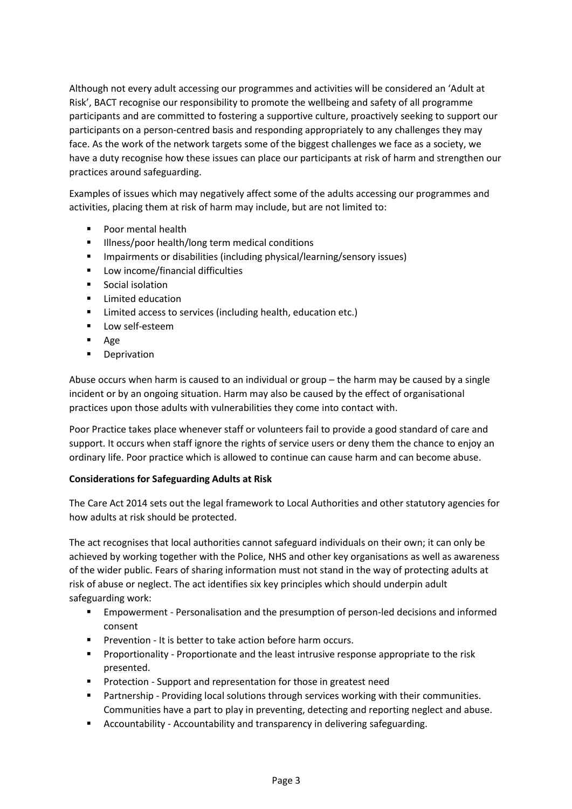Although not every adult accessing our programmes and activities will be considered an 'Adult at Risk', BACT recognise our responsibility to promote the wellbeing and safety of all programme participants and are committed to fostering a supportive culture, proactively seeking to support our participants on a person-centred basis and responding appropriately to any challenges they may face. As the work of the network targets some of the biggest challenges we face as a society, we have a duty recognise how these issues can place our participants at risk of harm and strengthen our practices around safeguarding.

Examples of issues which may negatively affect some of the adults accessing our programmes and activities, placing them at risk of harm may include, but are not limited to:

- Poor mental health
- **■** Illness/poor health/long term medical conditions
- Impairments or disabilities (including physical/learning/sensory issues)
- Low income/financial difficulties
- Social isolation
- Limited education
- Limited access to services (including health, education etc.)
- **·** Low self-esteem
- Age
- Deprivation

Abuse occurs when harm is caused to an individual or group – the harm may be caused by a single incident or by an ongoing situation. Harm may also be caused by the effect of organisational practices upon those adults with vulnerabilities they come into contact with.

Poor Practice takes place whenever staff or volunteers fail to provide a good standard of care and support. It occurs when staff ignore the rights of service users or deny them the chance to enjoy an ordinary life. Poor practice which is allowed to continue can cause harm and can become abuse.

#### <span id="page-9-0"></span>**Considerations for Safeguarding Adults at Risk**

The Care Act 2014 sets out the legal framework to Local Authorities and other statutory agencies for how adults at risk should be protected.

The act recognises that local authorities cannot safeguard individuals on their own; it can only be achieved by working together with the Police, NHS and other key organisations as well as awareness of the wider public. Fears of sharing information must not stand in the way of protecting adults at risk of abuse or neglect. The act identifies six key principles which should underpin adult safeguarding work:

- **Empowerment Personalisation and the presumption of person-led decisions and informed** consent
- Prevention It is better to take action before harm occurs.
- Proportionality Proportionate and the least intrusive response appropriate to the risk presented.
- Protection Support and representation for those in greatest need
- Partnership Providing local solutions through services working with their communities. Communities have a part to play in preventing, detecting and reporting neglect and abuse.
- Accountability Accountability and transparency in delivering safeguarding.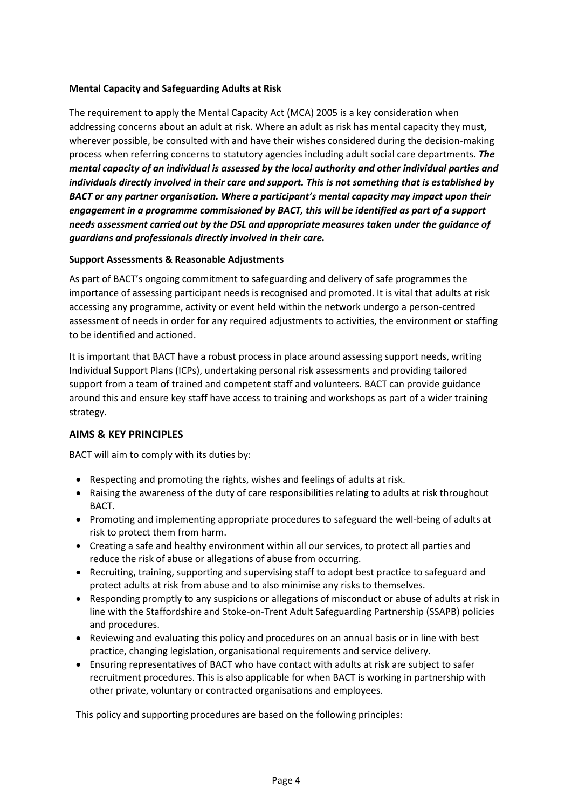#### <span id="page-10-0"></span>**Mental Capacity and Safeguarding Adults at Risk**

The requirement to apply the Mental Capacity Act (MCA) 2005 is a key consideration when addressing concerns about an adult at risk. Where an adult as risk has mental capacity they must, wherever possible, be consulted with and have their wishes considered during the decision-making process when referring concerns to statutory agencies including adult social care departments. *The mental capacity of an individual is assessed by the local authority and other individual parties and individuals directly involved in their care and support. This is not something that is established by BACT or any partner organisation. Where a participant's mental capacity may impact upon their engagement in a programme commissioned by BACT, this will be identified as part of a support needs assessment carried out by the DSL and appropriate measures taken under the guidance of guardians and professionals directly involved in their care.*

#### <span id="page-10-1"></span>**Support Assessments & Reasonable Adjustments**

As part of BACT's ongoing commitment to safeguarding and delivery of safe programmes the importance of assessing participant needs is recognised and promoted. It is vital that adults at risk accessing any programme, activity or event held within the network undergo a person-centred assessment of needs in order for any required adjustments to activities, the environment or staffing to be identified and actioned.

It is important that BACT have a robust process in place around assessing support needs, writing Individual Support Plans (ICPs), undertaking personal risk assessments and providing tailored support from a team of trained and competent staff and volunteers. BACT can provide guidance around this and ensure key staff have access to training and workshops as part of a wider training strategy.

#### <span id="page-10-2"></span>**AIMS & KEY PRINCIPLES**

BACT will aim to comply with its duties by:

- Respecting and promoting the rights, wishes and feelings of adults at risk.
- Raising the awareness of the duty of care responsibilities relating to adults at risk throughout BACT.
- Promoting and implementing appropriate procedures to safeguard the well-being of adults at risk to protect them from harm.
- Creating a safe and healthy environment within all our services, to protect all parties and reduce the risk of abuse or allegations of abuse from occurring.
- Recruiting, training, supporting and supervising staff to adopt best practice to safeguard and protect adults at risk from abuse and to also minimise any risks to themselves.
- Responding promptly to any suspicions or allegations of misconduct or abuse of adults at risk in line with the Staffordshire and Stoke-on-Trent Adult Safeguarding Partnership (SSAPB) policies and procedures.
- Reviewing and evaluating this policy and procedures on an annual basis or in line with best practice, changing legislation, organisational requirements and service delivery.
- Ensuring representatives of BACT who have contact with adults at risk are subject to safer recruitment procedures. This is also applicable for when BACT is working in partnership with other private, voluntary or contracted organisations and employees.

This policy and supporting procedures are based on the following principles: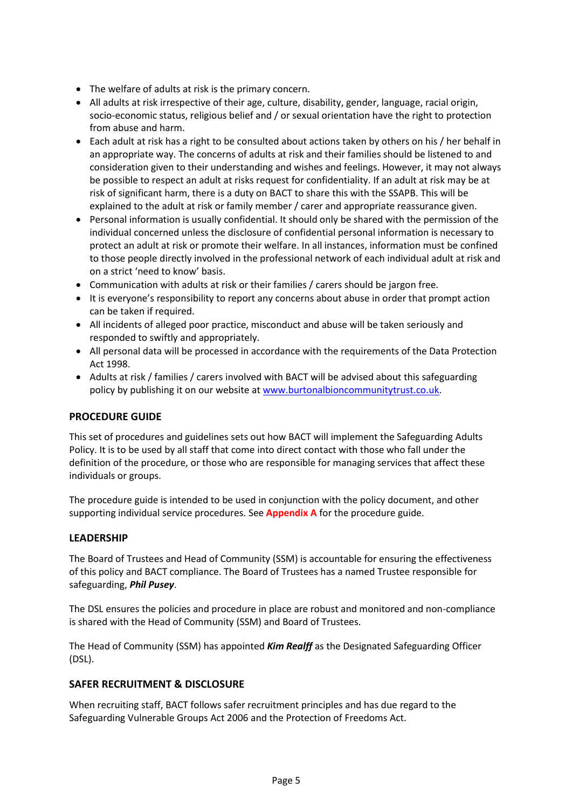- The welfare of adults at risk is the primary concern.
- All adults at risk irrespective of their age, culture, disability, gender, language, racial origin, socio-economic status, religious belief and / or sexual orientation have the right to protection from abuse and harm.
- Each adult at risk has a right to be consulted about actions taken by others on his / her behalf in an appropriate way. The concerns of adults at risk and their families should be listened to and consideration given to their understanding and wishes and feelings. However, it may not always be possible to respect an adult at risks request for confidentiality. If an adult at risk may be at risk of significant harm, there is a duty on BACT to share this with the SSAPB. This will be explained to the adult at risk or family member / carer and appropriate reassurance given.
- Personal information is usually confidential. It should only be shared with the permission of the individual concerned unless the disclosure of confidential personal information is necessary to protect an adult at risk or promote their welfare. In all instances, information must be confined to those people directly involved in the professional network of each individual adult at risk and on a strict 'need to know' basis.
- Communication with adults at risk or their families / carers should be jargon free.
- It is everyone's responsibility to report any concerns about abuse in order that prompt action can be taken if required.
- All incidents of alleged poor practice, misconduct and abuse will be taken seriously and responded to swiftly and appropriately.
- All personal data will be processed in accordance with the requirements of the Data Protection Act 1998.
- Adults at risk / families / carers involved with BACT will be advised about this safeguarding policy by publishing it on our website a[t www.burtonalbioncommunitytrust.co.uk.](http://www.burtonalbioncommunitytrust.co.uk/)

#### <span id="page-11-0"></span>**PROCEDURE GUIDE**

This set of procedures and guidelines sets out how BACT will implement the Safeguarding Adults Policy. It is to be used by all staff that come into direct contact with those who fall under the definition of the procedure, or those who are responsible for managing services that affect these individuals or groups.

The procedure guide is intended to be used in conjunction with the policy document, and other supporting individual service procedures. See **Appendix A** for the procedure guide.

#### <span id="page-11-1"></span>**LEADERSHIP**

The Board of Trustees and Head of Community (SSM) is accountable for ensuring the effectiveness of this policy and BACT compliance. The Board of Trustees has a named Trustee responsible for safeguarding, *Phil Pusey*.

The DSL ensures the policies and procedure in place are robust and monitored and non-compliance is shared with the Head of Community (SSM) and Board of Trustees.

The Head of Community (SSM) has appointed *Kim Realff* as the Designated Safeguarding Officer (DSL).

#### <span id="page-11-2"></span>**SAFER RECRUITMENT & DISCLOSURE**

When recruiting staff, BACT follows safer recruitment principles and has due regard to the Safeguarding Vulnerable Groups Act 2006 and the Protection of Freedoms Act.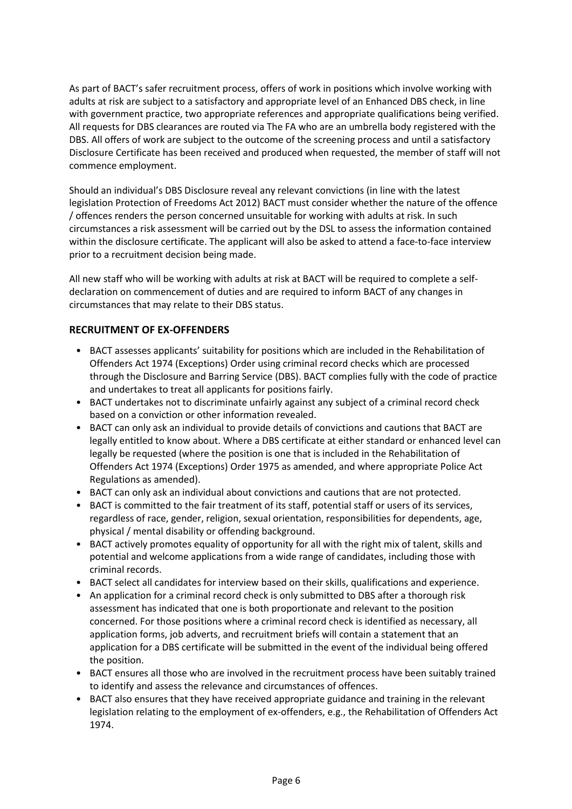As part of BACT's safer recruitment process, offers of work in positions which involve working with adults at risk are subject to a satisfactory and appropriate level of an Enhanced DBS check, in line with government practice, two appropriate references and appropriate qualifications being verified. All requests for DBS clearances are routed via The FA who are an umbrella body registered with the DBS. All offers of work are subject to the outcome of the screening process and until a satisfactory Disclosure Certificate has been received and produced when requested, the member of staff will not commence employment.

Should an individual's DBS Disclosure reveal any relevant convictions (in line with the latest legislation Protection of Freedoms Act 2012) BACT must consider whether the nature of the offence / offences renders the person concerned unsuitable for working with adults at risk. In such circumstances a risk assessment will be carried out by the DSL to assess the information contained within the disclosure certificate. The applicant will also be asked to attend a face-to-face interview prior to a recruitment decision being made.

All new staff who will be working with adults at risk at BACT will be required to complete a selfdeclaration on commencement of duties and are required to inform BACT of any changes in circumstances that may relate to their DBS status.

### <span id="page-12-0"></span>**RECRUITMENT OF EX-OFFENDERS**

- BACT assesses applicants' suitability for positions which are included in the Rehabilitation of Offenders Act 1974 (Exceptions) Order using criminal record checks which are processed through the Disclosure and Barring Service (DBS). BACT complies fully with the code of practice and undertakes to treat all applicants for positions fairly.
- BACT undertakes not to discriminate unfairly against any subject of a criminal record check based on a conviction or other information revealed.
- BACT can only ask an individual to provide details of convictions and cautions that BACT are legally entitled to know about. Where a DBS certificate at either standard or enhanced level can legally be requested (where the position is one that is included in the Rehabilitation of Offenders Act 1974 (Exceptions) Order 1975 as amended, and where appropriate Police Act Regulations as amended).
- BACT can only ask an individual about convictions and cautions that are not protected.
- BACT is committed to the fair treatment of its staff, potential staff or users of its services, regardless of race, gender, religion, sexual orientation, responsibilities for dependents, age, physical / mental disability or offending background.
- BACT actively promotes equality of opportunity for all with the right mix of talent, skills and potential and welcome applications from a wide range of candidates, including those with criminal records.
- BACT select all candidates for interview based on their skills, qualifications and experience.
- An application for a criminal record check is only submitted to DBS after a thorough risk assessment has indicated that one is both proportionate and relevant to the position concerned. For those positions where a criminal record check is identified as necessary, all application forms, job adverts, and recruitment briefs will contain a statement that an application for a DBS certificate will be submitted in the event of the individual being offered the position.
- BACT ensures all those who are involved in the recruitment process have been suitably trained to identify and assess the relevance and circumstances of offences.
- BACT also ensures that they have received appropriate guidance and training in the relevant legislation relating to the employment of ex-offenders, e.g., the Rehabilitation of Offenders Act 1974.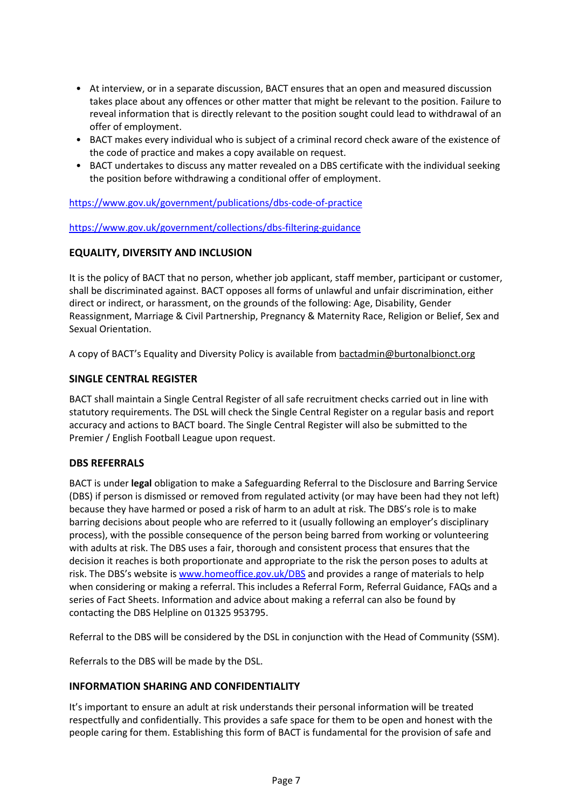- At interview, or in a separate discussion, BACT ensures that an open and measured discussion takes place about any offences or other matter that might be relevant to the position. Failure to reveal information that is directly relevant to the position sought could lead to withdrawal of an offer of employment.
- BACT makes every individual who is subject of a criminal record check aware of the existence of the code of practice and makes a copy available on request.
- BACT undertakes to discuss any matter revealed on a DBS certificate with the individual seeking the position before withdrawing a conditional offer of employment.

<https://www.gov.uk/government/publications/dbs-code-of-practice>

<https://www.gov.uk/government/collections/dbs-filtering-guidance>

#### <span id="page-13-0"></span>**EQUALITY, DIVERSITY AND INCLUSION**

It is the policy of BACT that no person, whether job applicant, staff member, participant or customer, shall be discriminated against. BACT opposes all forms of unlawful and unfair discrimination, either direct or indirect, or harassment, on the grounds of the following: Age, Disability, Gender Reassignment, Marriage & Civil Partnership, Pregnancy & Maternity Race, Religion or Belief, Sex and Sexual Orientation.

A copy of BACT's Equality and Diversity Policy is available from [bactadmin@burtonalbionct.org](mailto:bactadmin@burtonalbionct.org)

#### <span id="page-13-1"></span>**SINGLE CENTRAL REGISTER**

BACT shall maintain a Single Central Register of all safe recruitment checks carried out in line with statutory requirements. The DSL will check the Single Central Register on a regular basis and report accuracy and actions to BACT board. The Single Central Register will also be submitted to the Premier / English Football League upon request.

#### <span id="page-13-2"></span>**DBS REFERRALS**

BACT is under **legal** obligation to make a Safeguarding Referral to the Disclosure and Barring Service (DBS) if person is dismissed or removed from regulated activity (or may have been had they not left) because they have harmed or posed a risk of harm to an adult at risk. The DBS's role is to make barring decisions about people who are referred to it (usually following an employer's disciplinary process), with the possible consequence of the person being barred from working or volunteering with adults at risk. The DBS uses a fair, thorough and consistent process that ensures that the decision it reaches is both proportionate and appropriate to the risk the person poses to adults at risk. The DBS's website is [www.homeoffice.gov.uk/DBS](http://www.homeoffice.gov.uk/DBS) and provides a range of materials to help when considering or making a referral. This includes a Referral Form, Referral Guidance, FAQs and a series of Fact Sheets. Information and advice about making a referral can also be found by contacting the DBS Helpline on 01325 953795.

Referral to the DBS will be considered by the DSL in conjunction with the Head of Community (SSM).

Referrals to the DBS will be made by the DSL.

#### <span id="page-13-3"></span>**INFORMATION SHARING AND CONFIDENTIALITY**

It's important to ensure an adult at risk understands their personal information will be treated respectfully and confidentially. This provides a safe space for them to be open and honest with the people caring for them. Establishing this form of BACT is fundamental for the provision of safe and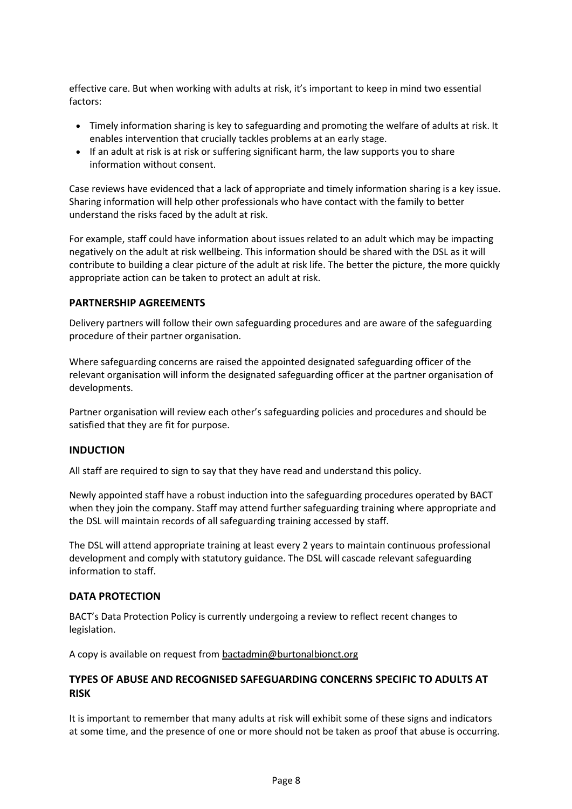effective care. But when working with adults at risk, it's important to keep in mind two essential factors:

- Timely information sharing is key to safeguarding and promoting the welfare of adults at risk. It enables intervention that crucially tackles problems at an early stage.
- If an adult at risk is at risk or suffering significant harm, the law supports you to share information without consent.

Case reviews have evidenced that a lack of appropriate and timely information sharing is a key issue. Sharing information will help other professionals who have contact with the family to better understand the risks faced by the adult at risk.

For example, staff could have information about issues related to an adult which may be impacting negatively on the adult at risk wellbeing. This information should be shared with the DSL as it will contribute to building a clear picture of the adult at risk life. The better the picture, the more quickly appropriate action can be taken to protect an adult at risk.

#### <span id="page-14-0"></span>**PARTNERSHIP AGREEMENTS**

Delivery partners will follow their own safeguarding procedures and are aware of the safeguarding procedure of their partner organisation.

Where safeguarding concerns are raised the appointed designated safeguarding officer of the relevant organisation will inform the designated safeguarding officer at the partner organisation of developments.

Partner organisation will review each other's safeguarding policies and procedures and should be satisfied that they are fit for purpose.

#### <span id="page-14-1"></span>**INDUCTION**

All staff are required to sign to say that they have read and understand this policy.

Newly appointed staff have a robust induction into the safeguarding procedures operated by BACT when they join the company. Staff may attend further safeguarding training where appropriate and the DSL will maintain records of all safeguarding training accessed by staff.

The DSL will attend appropriate training at least every 2 years to maintain continuous professional development and comply with statutory guidance. The DSL will cascade relevant safeguarding information to staff.

#### <span id="page-14-2"></span>**DATA PROTECTION**

BACT's Data Protection Policy is currently undergoing a review to reflect recent changes to legislation.

A copy is available on request from [bactadmin@burtonalbionct.org](mailto:bactadmin@burtonalbionct.org)

#### **TYPES OF ABUSE AND RECOGNISED SAFEGUARDING CONCERNS SPECIFIC TO ADULTS AT RISK**

It is important to remember that many adults at risk will exhibit some of these signs and indicators at some time, and the presence of one or more should not be taken as proof that abuse is occurring.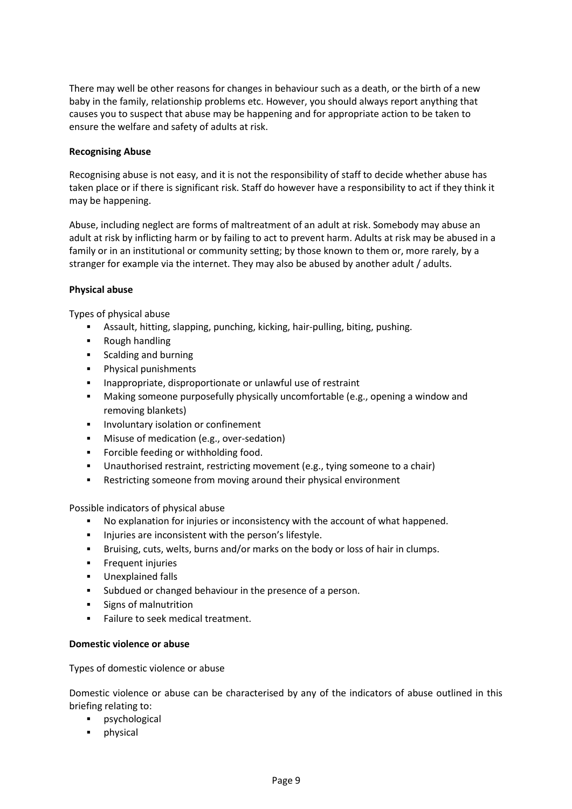There may well be other reasons for changes in behaviour such as a death, or the birth of a new baby in the family, relationship problems etc. However, you should always report anything that causes you to suspect that abuse may be happening and for appropriate action to be taken to ensure the welfare and safety of adults at risk.

#### <span id="page-15-0"></span>**Recognising Abuse**

Recognising abuse is not easy, and it is not the responsibility of staff to decide whether abuse has taken place or if there is significant risk. Staff do however have a responsibility to act if they think it may be happening.

Abuse, including neglect are forms of maltreatment of an adult at risk. Somebody may abuse an adult at risk by inflicting harm or by failing to act to prevent harm. Adults at risk may be abused in a family or in an institutional or community setting; by those known to them or, more rarely, by a stranger for example via the internet. They may also be abused by another adult / adults.

#### **Physical abuse**

Types of physical abuse

- Assault, hitting, slapping, punching, kicking, hair-pulling, biting, pushing.
- Rough handling
- Scalding and burning
- Physical punishments
- Inappropriate, disproportionate or unlawful use of restraint
- Making someone purposefully physically uncomfortable (e.g., opening a window and removing blankets)
- Involuntary isolation or confinement
- Misuse of medication (e.g., over-sedation)
- Forcible feeding or withholding food.
- Unauthorised restraint, restricting movement (e.g., tying someone to a chair)
- Restricting someone from moving around their physical environment

Possible indicators of physical abuse

- No explanation for injuries or inconsistency with the account of what happened.
- Injuries are inconsistent with the person's lifestyle.
- Bruising, cuts, welts, burns and/or marks on the body or loss of hair in clumps.
- **•** Frequent injuries
- Unexplained falls
- Subdued or changed behaviour in the presence of a person.
- Signs of malnutrition
- Failure to seek medical treatment.

#### **Domestic violence or abuse**

Types of domestic violence or abuse

Domestic violence or abuse can be characterised by any of the indicators of abuse outlined in this briefing relating to:

- psychological
- physical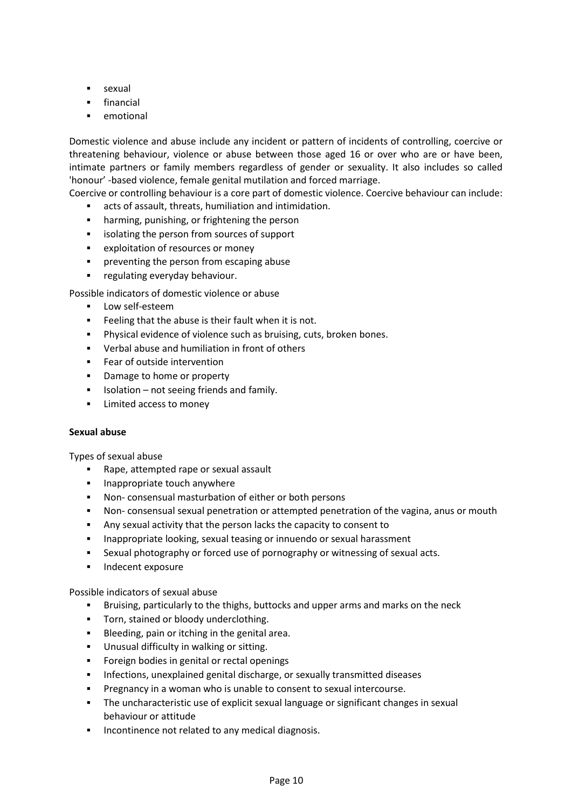- sexual
- financial
- emotional

Domestic violence and abuse include any incident or pattern of incidents of controlling, coercive or threatening behaviour, violence or abuse between those aged 16 or over who are or have been, intimate partners or family members regardless of gender or sexuality. It also includes so called 'honour' -based violence, female genital mutilation and forced marriage.

Coercive or controlling behaviour is a core part of domestic violence. Coercive behaviour can include:

- acts of assault, threats, humiliation and intimidation.
- harming, punishing, or frightening the person
- isolating the person from sources of support
- exploitation of resources or money
- **•** preventing the person from escaping abuse
- **·** regulating everyday behaviour.

Possible indicators of domestic violence or abuse

- Low self-esteem
- Feeling that the abuse is their fault when it is not.
- Physical evidence of violence such as bruising, cuts, broken bones.
- Verbal abuse and humiliation in front of others
- Fear of outside intervention
- Damage to home or property
- Isolation not seeing friends and family.
- Limited access to money

#### **Sexual abuse**

Types of sexual abuse

- Rape, attempted rape or sexual assault
- **·** Inappropriate touch anywhere
- Non- consensual masturbation of either or both persons
- Non- consensual sexual penetration or attempted penetration of the vagina, anus or mouth
- Any sexual activity that the person lacks the capacity to consent to
- Inappropriate looking, sexual teasing or innuendo or sexual harassment
- Sexual photography or forced use of pornography or witnessing of sexual acts.
- Indecent exposure

Possible indicators of sexual abuse

- Bruising, particularly to the thighs, buttocks and upper arms and marks on the neck
- **·** Torn, stained or bloody underclothing.
- Bleeding, pain or itching in the genital area.
- Unusual difficulty in walking or sitting.
- **•** Foreign bodies in genital or rectal openings
- **•** Infections, unexplained genital discharge, or sexually transmitted diseases
- Pregnancy in a woman who is unable to consent to sexual intercourse.
- **•** The uncharacteristic use of explicit sexual language or significant changes in sexual behaviour or attitude
- Incontinence not related to any medical diagnosis.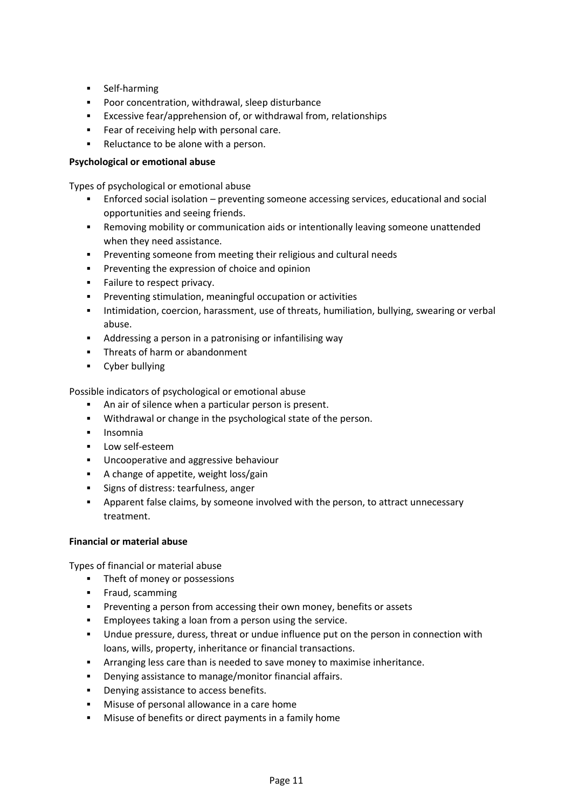- Self-harming
- Poor concentration, withdrawal, sleep disturbance
- Excessive fear/apprehension of, or withdrawal from, relationships
- Fear of receiving help with personal care.
- Reluctance to be alone with a person.

#### **Psychological or emotional abuse**

Types of psychological or emotional abuse

- Enforced social isolation preventing someone accessing services, educational and social opportunities and seeing friends.
- **EXECT** Removing mobility or communication aids or intentionally leaving someone unattended when they need assistance.
- Preventing someone from meeting their religious and cultural needs
- **•** Preventing the expression of choice and opinion
- Failure to respect privacy.
- Preventing stimulation, meaningful occupation or activities
- Intimidation, coercion, harassment, use of threats, humiliation, bullying, swearing or verbal abuse.
- Addressing a person in a patronising or infantilising way
- Threats of harm or abandonment
- Cyber bullying

Possible indicators of psychological or emotional abuse

- An air of silence when a particular person is present.
- Withdrawal or change in the psychological state of the person.
- Insomnia
- **■** Low self-esteem
- Uncooperative and aggressive behaviour
- A change of appetite, weight loss/gain
- Signs of distress: tearfulness, anger
- Apparent false claims, by someone involved with the person, to attract unnecessary treatment.

#### **Financial or material abuse**

Types of financial or material abuse

- Theft of money or possessions
- **■** Fraud, scamming
- Preventing a person from accessing their own money, benefits or assets
- Employees taking a loan from a person using the service.
- Undue pressure, duress, threat or undue influence put on the person in connection with loans, wills, property, inheritance or financial transactions.
- **EXECT** Arranging less care than is needed to save money to maximise inheritance.
- Denying assistance to manage/monitor financial affairs.
- Denying assistance to access benefits.
- Misuse of personal allowance in a care home
- Misuse of benefits or direct payments in a family home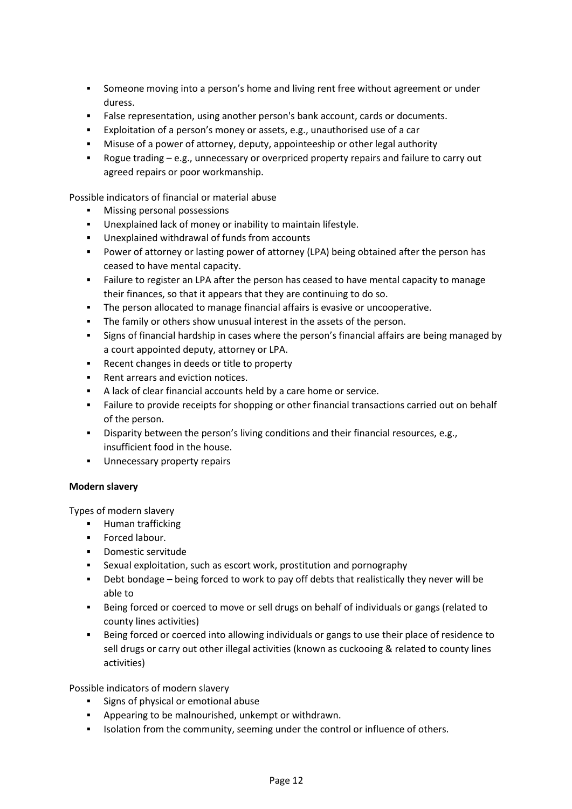- Someone moving into a person's home and living rent free without agreement or under duress.
- False representation, using another person's bank account, cards or documents.
- Exploitation of a person's money or assets, e.g., unauthorised use of a car
- **■** Misuse of a power of attorney, deputy, appointeeship or other legal authority
- Rogue trading e.g., unnecessary or overpriced property repairs and failure to carry out agreed repairs or poor workmanship.

Possible indicators of financial or material abuse

- Missing personal possessions
- Unexplained lack of money or inability to maintain lifestyle.
- Unexplained withdrawal of funds from accounts
- **•** Power of attorney or lasting power of attorney (LPA) being obtained after the person has ceased to have mental capacity.
- Failure to register an LPA after the person has ceased to have mental capacity to manage their finances, so that it appears that they are continuing to do so.
- **•** The person allocated to manage financial affairs is evasive or uncooperative.
- **•** The family or others show unusual interest in the assets of the person.
- Signs of financial hardship in cases where the person's financial affairs are being managed by a court appointed deputy, attorney or LPA.
- Recent changes in deeds or title to property
- Rent arrears and eviction notices.
- A lack of clear financial accounts held by a care home or service.
- **•** Failure to provide receipts for shopping or other financial transactions carried out on behalf of the person.
- **EXECT** Disparity between the person's living conditions and their financial resources, e.g., insufficient food in the house.
- Unnecessary property repairs

#### **Modern slavery**

Types of modern slavery

- Human trafficking
- Forced labour.
- Domestic servitude
- Sexual exploitation, such as escort work, prostitution and pornography
- **•** Debt bondage being forced to work to pay off debts that realistically they never will be able to
- Being forced or coerced to move or sell drugs on behalf of individuals or gangs (related to county lines activities)
- Being forced or coerced into allowing individuals or gangs to use their place of residence to sell drugs or carry out other illegal activities (known as cuckooing & related to county lines activities)

Possible indicators of modern slavery

- Signs of physical or emotional abuse
- Appearing to be malnourished, unkempt or withdrawn.
- **•** Isolation from the community, seeming under the control or influence of others.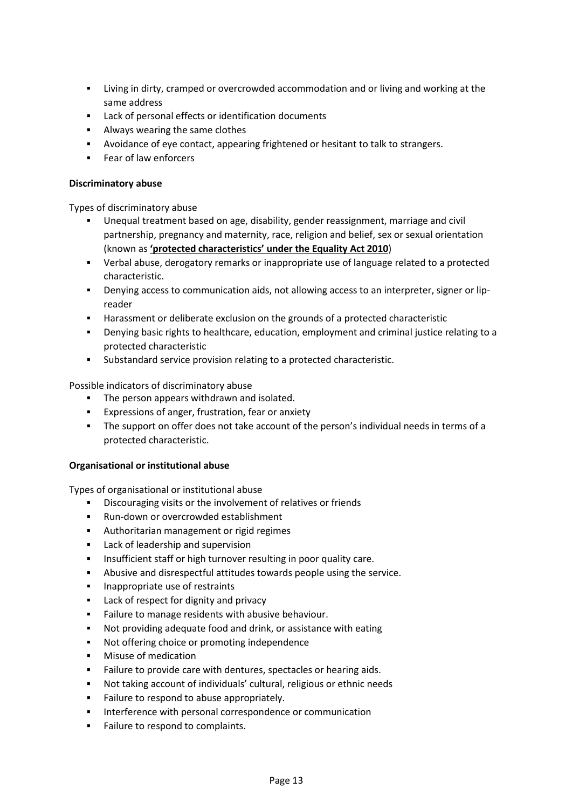- Living in dirty, cramped or overcrowded accommodation and or living and working at the same address
- Lack of personal effects or identification documents
- Always wearing the same clothes
- Avoidance of eye contact, appearing frightened or hesitant to talk to strangers.
- Fear of law enforcers

#### **Discriminatory abuse**

Types of discriminatory abuse

- Unequal treatment based on age, disability, gender reassignment, marriage and civil partnership, pregnancy and maternity, race, religion and belief, sex or sexual orientation (known as **'protected [characteristics'](http://www.equalityhumanrights.com/advice-and-guidance/new-equality-act-guidance/protected-characteristics-definitions/) under the Equality Act 2010**)
- Verbal abuse, derogatory remarks or inappropriate use of language related to a protected characteristic.
- Denying access to communication aids, not allowing access to an interpreter, signer or lipreader
- Harassment or deliberate exclusion on the grounds of a protected characteristic
- **•** Denying basic rights to healthcare, education, employment and criminal justice relating to a protected characteristic
- Substandard service provision relating to a protected characteristic.

Possible indicators of discriminatory abuse

- The person appears withdrawn and isolated.
- Expressions of anger, frustration, fear or anxiety
- The support on offer does not take account of the person's individual needs in terms of a protected characteristic.

#### **Organisational or institutional abuse**

Types of organisational or institutional abuse

- Discouraging visits or the involvement of relatives or friends
- Run-down or overcrowded establishment
- Authoritarian management or rigid regimes
- Lack of leadership and supervision
- **EXED** Insufficient staff or high turnover resulting in poor quality care.
- Abusive and disrespectful attitudes towards people using the service.
- Inappropriate use of restraints
- Lack of respect for dignity and privacy
- **EXECT:** Failure to manage residents with abusive behaviour.
- Not providing adequate food and drink, or assistance with eating
- Not offering choice or promoting independence
- Misuse of medication
- Failure to provide care with dentures, spectacles or hearing aids.
- Not taking account of individuals' cultural, religious or ethnic needs
- Failure to respond to abuse appropriately.
- Interference with personal correspondence or communication
- Failure to respond to complaints.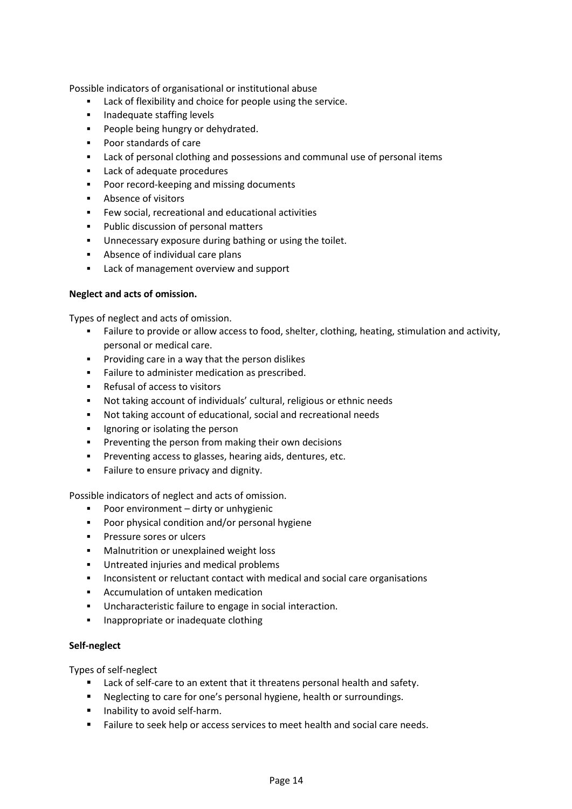Possible indicators of organisational or institutional abuse

- Lack of flexibility and choice for people using the service.
- Inadequate staffing levels
- People being hungry or dehydrated.
- Poor standards of care
- Lack of personal clothing and possessions and communal use of personal items
- Lack of adequate procedures
- Poor record-keeping and missing documents
- Absence of visitors
- Few social, recreational and educational activities
- Public discussion of personal matters
- Unnecessary exposure during bathing or using the toilet.
- Absence of individual care plans
- Lack of management overview and support

#### **Neglect and acts of omission.**

Types of neglect and acts of omission.

- Failure to provide or allow access to food, shelter, clothing, heating, stimulation and activity, personal or medical care.
- Providing care in a way that the person dislikes
- **·** Failure to administer medication as prescribed.
- Refusal of access to visitors
- Not taking account of individuals' cultural, religious or ethnic needs
- Not taking account of educational, social and recreational needs
- **•** Ignoring or isolating the person
- Preventing the person from making their own decisions
- Preventing access to glasses, hearing aids, dentures, etc.
- Failure to ensure privacy and dignity.

Possible indicators of neglect and acts of omission.

- Poor environment dirty or unhygienic
- Poor physical condition and/or personal hygiene
- Pressure sores or ulcers
- Malnutrition or unexplained weight loss
- Untreated injuries and medical problems
- Inconsistent or reluctant contact with medical and social care organisations
- Accumulation of untaken medication
- Uncharacteristic failure to engage in social interaction.
- Inappropriate or inadequate clothing

#### **Self-neglect**

Types of self-neglect

- Lack of self-care to an extent that it threatens personal health and safety.
- Neglecting to care for one's personal hygiene, health or surroundings.
- Inability to avoid self-harm.
- Failure to seek help or access services to meet health and social care needs.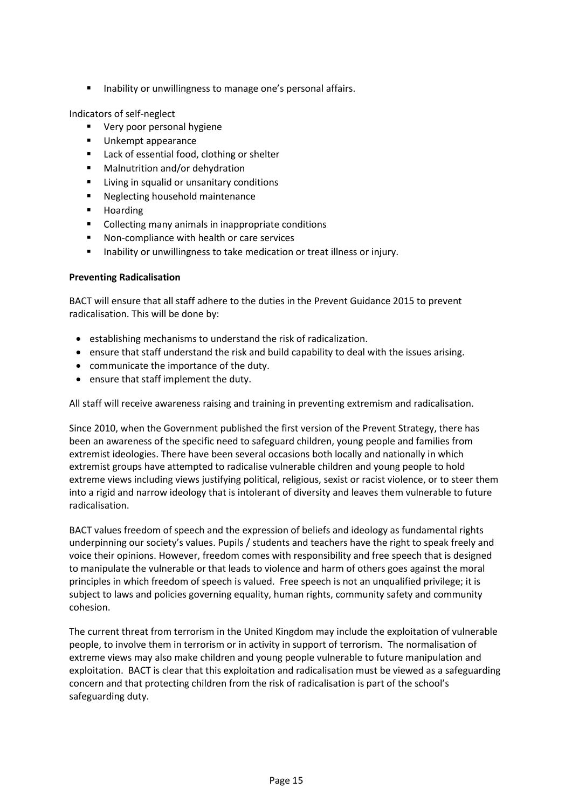■ Inability or unwillingness to manage one's personal affairs.

Indicators of self-neglect

- Very poor personal hygiene
- Unkempt appearance
- Lack of essential food, clothing or shelter
- Malnutrition and/or dehydration
- Living in squalid or unsanitary conditions
- Neglecting household maintenance
- Hoarding
- Collecting many animals in inappropriate conditions
- Non-compliance with health or care services
- Inability or unwillingness to take medication or treat illness or injury.

#### <span id="page-21-0"></span>**Preventing Radicalisation**

BACT will ensure that all staff adhere to the duties in the Prevent Guidance 2015 to prevent radicalisation. This will be done by:

- establishing mechanisms to understand the risk of radicalization.
- ensure that staff understand the risk and build capability to deal with the issues arising.
- communicate the importance of the duty.
- ensure that staff implement the duty.

All staff will receive awareness raising and training in preventing extremism and radicalisation.

Since 2010, when the Government published the first version of the Prevent Strategy, there has been an awareness of the specific need to safeguard children, young people and families from extremist ideologies. There have been several occasions both locally and nationally in which extremist groups have attempted to radicalise vulnerable children and young people to hold extreme views including views justifying political, religious, sexist or racist violence, or to steer them into a rigid and narrow ideology that is intolerant of diversity and leaves them vulnerable to future radicalisation.

BACT values freedom of speech and the expression of beliefs and ideology as fundamental rights underpinning our society's values. Pupils / students and teachers have the right to speak freely and voice their opinions. However, freedom comes with responsibility and free speech that is designed to manipulate the vulnerable or that leads to violence and harm of others goes against the moral principles in which freedom of speech is valued. Free speech is not an unqualified privilege; it is subject to laws and policies governing equality, human rights, community safety and community cohesion.

The current threat from terrorism in the United Kingdom may include the exploitation of vulnerable people, to involve them in terrorism or in activity in support of terrorism. The normalisation of extreme views may also make children and young people vulnerable to future manipulation and exploitation. BACT is clear that this exploitation and radicalisation must be viewed as a safeguarding concern and that protecting children from the risk of radicalisation is part of the school's safeguarding duty.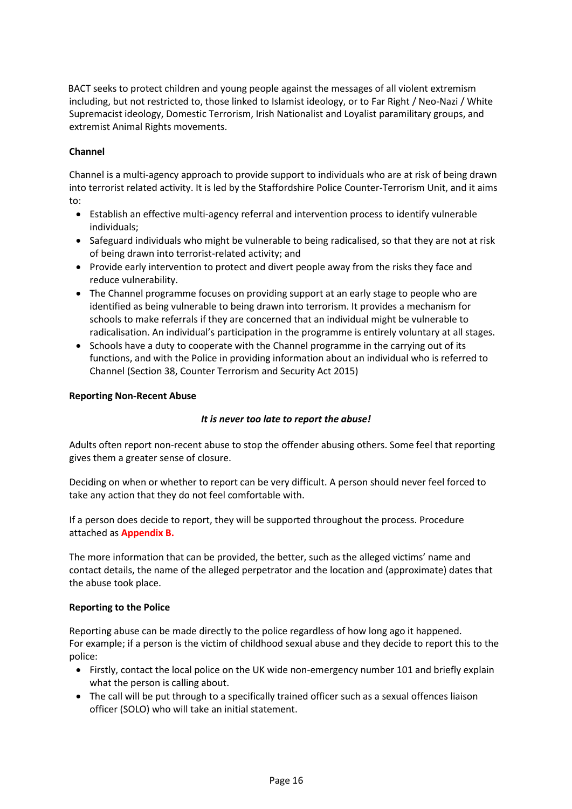BACT seeks to protect children and young people against the messages of all violent extremism including, but not restricted to, those linked to Islamist ideology, or to Far Right / Neo-Nazi / White Supremacist ideology, Domestic Terrorism, Irish Nationalist and Loyalist paramilitary groups, and extremist Animal Rights movements.

#### <span id="page-22-0"></span>**Channel**

Channel is a multi-agency approach to provide support to individuals who are at risk of being drawn into terrorist related activity. It is led by the Staffordshire Police Counter-Terrorism Unit, and it aims to:

- Establish an effective multi-agency referral and intervention process to identify vulnerable individuals;
- Safeguard individuals who might be vulnerable to being radicalised, so that they are not at risk of being drawn into terrorist-related activity; and
- Provide early intervention to protect and divert people away from the risks they face and reduce vulnerability.
- The Channel programme focuses on providing support at an early stage to people who are identified as being vulnerable to being drawn into terrorism. It provides a mechanism for schools to make referrals if they are concerned that an individual might be vulnerable to radicalisation. An individual's participation in the programme is entirely voluntary at all stages.
- Schools have a duty to cooperate with the Channel programme in the carrying out of its functions, and with the Police in providing information about an individual who is referred to Channel (Section 38, Counter Terrorism and Security Act 2015[\)](https://www.nspcc.org.uk/preventing-abuse/signs-symptoms-effects/non-recent-abuse/)

#### <span id="page-22-1"></span>**[Reporting Non-Recent Abuse](https://www.nspcc.org.uk/preventing-abuse/signs-symptoms-effects/non-recent-abuse/)**

#### *It is never too late to report the abuse!*

Adults often report non-recent abuse to stop the offender abusing others. Some feel that reporting gives them a greater sense of closure.

Deciding on when or whether to report can be very difficult. A person should never feel forced to take any action that they do not feel comfortable with.

If a person does decide to report, they will be supported throughout the process. Procedure attached as **Appendix B.**

The more information that can be provided, the better, such as the alleged victims' name and contact details, the name of the alleged perpetrator and the location and (approximate) dates that the abuse took place.

#### <span id="page-22-2"></span>**Reporting to the Police**

Reporting abuse can be made directly to the police regardless of how long ago it happened. For example; if a person is the victim of childhood sexual abuse and they decide to report this to the police:

- Firstly, contact the local police on the UK wide non-emergency number 101 and briefly explain what the person is calling about.
- The call will be put through to a specifically trained officer such as a sexual offences liaison officer (SOLO) who will take an initial statement.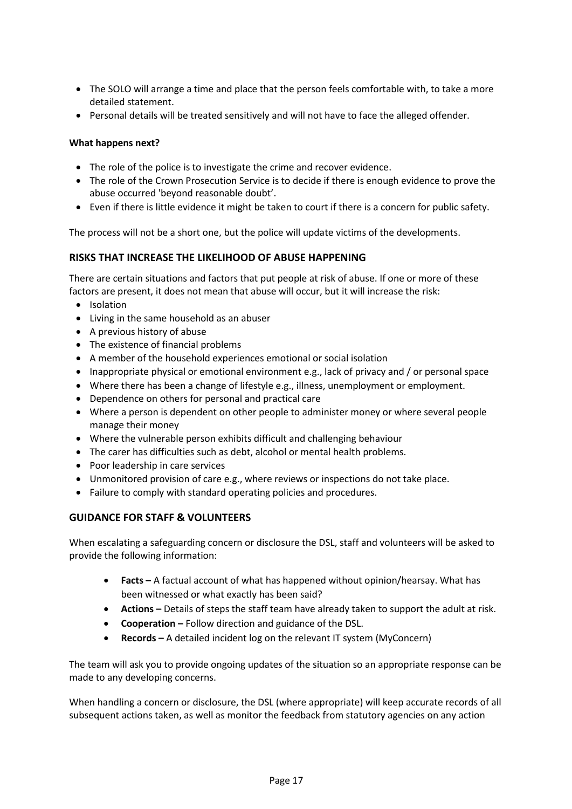- The SOLO will arrange a time and place that the person feels comfortable with, to take a more detailed statement.
- Personal details will be treated sensitively and will not have to face the alleged offender.

#### <span id="page-23-0"></span>**What happens next?**

- The role of the police is to investigate the crime and recover evidence.
- The role of the Crown Prosecution Service is to decide if there is enough evidence to prove the abuse occurred 'beyond reasonable doubt'.
- Even if there is little evidence it might be taken to court if there is a concern for public safety.

The process will not be a short one, but the police will update victims of the developments.

#### <span id="page-23-1"></span>**RISKS THAT INCREASE THE LIKELIHOOD OF ABUSE HAPPENING**

There are certain situations and factors that put people at risk of abuse. If one or more of these factors are present, it does not mean that abuse will occur, but it will increase the risk:

- Isolation
- Living in the same household as an abuser
- A previous history of abuse
- The existence of financial problems
- A member of the household experiences emotional or social isolation
- Inappropriate physical or emotional environment e.g., lack of privacy and / or personal space
- Where there has been a change of lifestyle e.g., illness, unemployment or employment.
- Dependence on others for personal and practical care
- Where a person is dependent on other people to administer money or where several people manage their money
- Where the vulnerable person exhibits difficult and challenging behaviour
- The carer has difficulties such as debt, alcohol or mental health problems.
- Poor leadership in care services
- Unmonitored provision of care e.g., where reviews or inspections do not take place.
- Failure to comply with standard operating policies and procedures.

#### <span id="page-23-2"></span>**GUIDANCE FOR STAFF & VOLUNTEERS**

When escalating a safeguarding concern or disclosure the DSL, staff and volunteers will be asked to provide the following information:

- **Facts –** A factual account of what has happened without opinion/hearsay. What has been witnessed or what exactly has been said?
- **•** Actions Details of steps the staff team have already taken to support the adult at risk.
- **Cooperation –** Follow direction and guidance of the DSL.
- **Records –** A detailed incident log on the relevant IT system (MyConcern)

The team will ask you to provide ongoing updates of the situation so an appropriate response can be made to any developing concerns.

When handling a concern or disclosure, the DSL (where appropriate) will keep accurate records of all subsequent actions taken, as well as monitor the feedback from statutory agencies on any action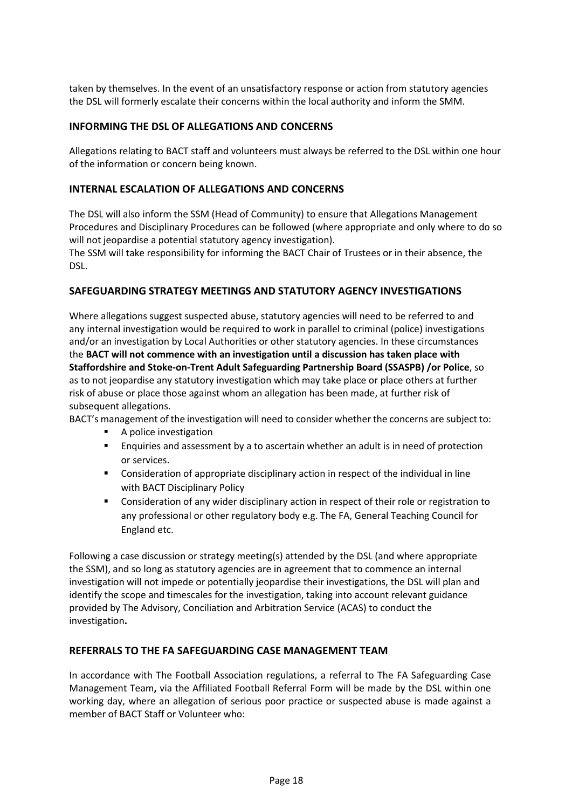taken by themselves. In the event of an unsatisfactory response or action from statutory agencies the DSL will formerly escalate their concerns within the local authority and inform the SMM.

#### <span id="page-24-0"></span>**INFORMING THE DSL OF ALLEGATIONS AND CONCERNS**

Allegations relating to BACT staff and volunteers must always be referred to the DSL within one hour of the information or concern being known.

#### <span id="page-24-1"></span>**INTERNAL ESCALATION OF ALLEGATIONS AND CONCERNS**

The DSL will also inform the SSM (Head of Community) to ensure that Allegations Management Procedures and Disciplinary Procedures can be followed (where appropriate and only where to do so will not jeopardise a potential statutory agency investigation).

The SSM will take responsibility for informing the BACT Chair of Trustees or in their absence, the DSL.

#### <span id="page-24-2"></span>**SAFEGUARDING STRATEGY MEETINGS AND STATUTORY AGENCY INVESTIGATIONS**

Where allegations suggest suspected abuse, statutory agencies will need to be referred to and any internal investigation would be required to work in parallel to criminal (police) investigations and/or an investigation by Local Authorities or other statutory agencies. In these circumstances the **BACT will not commence with an investigation until a discussion has taken place with Staffordshire and Stoke-on-Trent Adult Safeguarding Partnership Board (SSASPB) /or Police**, so as to not jeopardise any statutory investigation which may take place or place others at further risk of abuse or place those against whom an allegation has been made, at further risk of subsequent allegations.

BACT's management of the investigation will need to consider whether the concerns are subject to:

- A police investigation
- Enquiries and assessment by a to ascertain whether an adult is in need of protection or services.
- **•** Consideration of appropriate disciplinary action in respect of the individual in line with BACT Disciplinary Policy
- Consideration of any wider disciplinary action in respect of their role or registration to any professional or other regulatory body e.g. The FA, General Teaching Council for England etc.

Following a case discussion or strategy meeting(s) attended by the DSL (and where appropriate the SSM), and so long as statutory agencies are in agreement that to commence an internal investigation will not impede or potentially jeopardise their investigations, the DSL will plan and identify the scope and timescales for the investigation, taking into account relevant guidance provided by The Advisory, Conciliation and Arbitration Service (ACAS) to conduct the investigation**.**

#### <span id="page-24-3"></span>**REFERRALS TO THE FA SAFEGUARDING CASE MANAGEMENT TEAM**

In accordance with The Football Association regulations, a referral to The FA Safeguarding Case Management Team**,** via the Affiliated Football Referral Form will be made by the DSL within one working day, where an allegation of serious poor practice or suspected abuse is made against a member of BACT Staff or Volunteer who: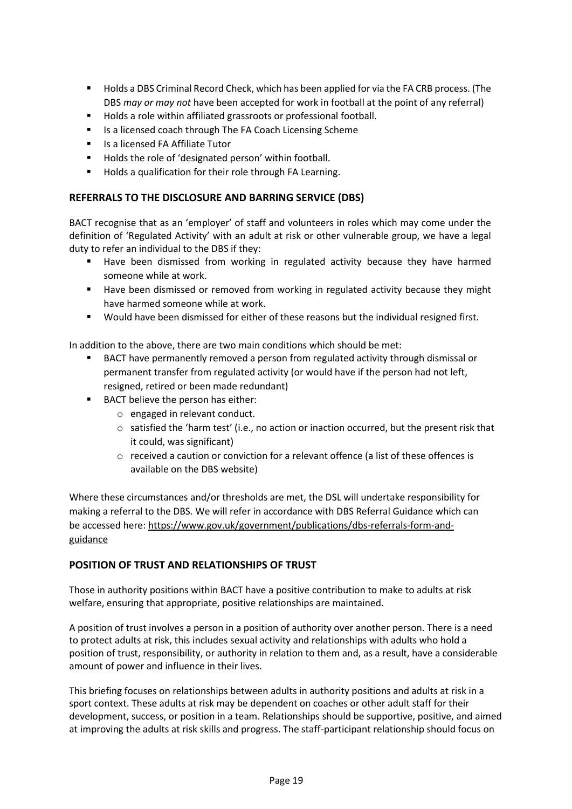- Holds a DBS Criminal Record Check, which has been applied for via the FA CRB process. (The DBS *may or may not* have been accepted for work in football at the point of any referral)
- Holds a role within affiliated grassroots or professional football.
- Is a licensed coach through The FA Coach Licensing Scheme
- Is a licensed FA Affiliate Tutor
- Holds the role of 'designated person' within football.
- Holds a qualification for their role through FA Learning.

#### <span id="page-25-0"></span>**REFERRALS TO THE DISCLOSURE AND BARRING SERVICE (DBS)**

BACT recognise that as an 'employer' of staff and volunteers in roles which may come under the definition of 'Regulated Activity' with an adult at risk or other vulnerable group, we have a legal duty to refer an individual to the DBS if they:

- Have been dismissed from working in regulated activity because they have harmed someone while at work.
- Have been dismissed or removed from working in regulated activity because they might have harmed someone while at work.
- Would have been dismissed for either of these reasons but the individual resigned first.

In addition to the above, there are two main conditions which should be met:

- BACT have permanently removed a person from regulated activity through dismissal or permanent transfer from regulated activity (or would have if the person had not left, resigned, retired or been made redundant)
- BACT believe the person has either:
	- o engaged in relevant conduct.
	- $\circ$  satisfied the 'harm test' (i.e., no action or inaction occurred, but the present risk that it could, was significant)
	- $\circ$  received a caution or conviction for a relevant offence (a list of these offences is available on the DBS website)

Where these circumstances and/or thresholds are met, the DSL will undertake responsibility for making a referral to the DBS. We will refer in accordance with DBS Referral Guidance which can be accessed here: [https://www.gov.uk/government/publications/dbs-referrals-form-and](https://www.gov.uk/government/publications/dbs-referrals-form-and-guidance)[guidance](https://www.gov.uk/government/publications/dbs-referrals-form-and-guidance)

#### <span id="page-25-1"></span>**POSITION OF TRUST AND RELATIONSHIPS OF TRUST**

Those in authority positions within BACT have a positive contribution to make to adults at risk welfare, ensuring that appropriate, positive relationships are maintained.

A position of trust involves a person in a position of authority over another person. There is a need to protect adults at risk, this includes sexual activity and relationships with adults who hold a position of trust, responsibility, or authority in relation to them and, as a result, have a considerable amount of power and influence in their lives.

This briefing focuses on relationships between adults in authority positions and adults at risk in a sport context. These adults at risk may be dependent on coaches or other adult staff for their development, success, or position in a team. Relationships should be supportive, positive, and aimed at improving the adults at risk skills and progress. The staff-participant relationship should focus on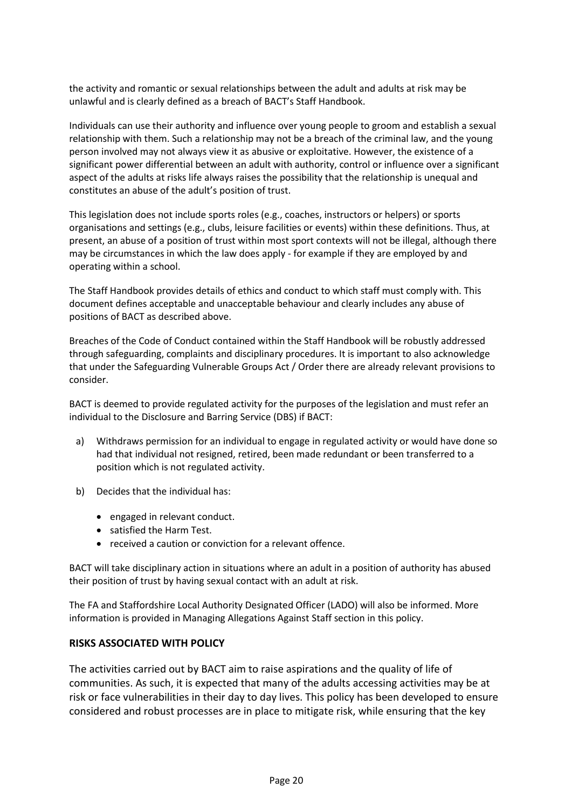the activity and romantic or sexual relationships between the adult and adults at risk may be unlawful and is clearly defined as a breach of BACT's Staff Handbook.

Individuals can use their authority and influence over young people to groom and establish a sexual relationship with them. Such a relationship may not be a breach of the criminal law, and the young person involved may not always view it as abusive or exploitative. However, the existence of a significant power differential between an adult with authority, control or influence over a significant aspect of the adults at risks life always raises the possibility that the relationship is unequal and constitutes an abuse of the adult's position of trust.

This legislation does not include sports roles (e.g., coaches, instructors or helpers) or sports organisations and settings (e.g., clubs, leisure facilities or events) within these definitions. Thus, at present, an abuse of a position of trust within most sport contexts will not be illegal, although there may be circumstances in which the law does apply - for example if they are employed by and operating within a school.

The Staff Handbook provides details of ethics and conduct to which staff must comply with. This document defines acceptable and unacceptable behaviour and clearly includes any abuse of positions of BACT as described above.

Breaches of the Code of Conduct contained within the Staff Handbook will be robustly addressed through safeguarding, complaints and disciplinary procedures. It is important to also acknowledge that under the Safeguarding Vulnerable Groups Act / Order there are already relevant provisions to consider.

BACT is deemed to provide regulated activity for the purposes of the legislation and must refer an individual to the Disclosure and Barring Service (DBS) if BACT:

- a) Withdraws permission for an individual to engage in regulated activity or would have done so had that individual not resigned, retired, been made redundant or been transferred to a position which is not regulated activity.
- b) Decides that the individual has:
	- engaged in relevant conduct.
	- satisfied the Harm Test.
	- received a caution or conviction for a relevant offence.

BACT will take disciplinary action in situations where an adult in a position of authority has abused their position of trust by having sexual contact with an adult at risk.

The FA and Staffordshire Local Authority Designated Officer (LADO) will also be informed. More information is provided in Managing Allegations Against Staff section in this policy.

#### <span id="page-26-0"></span>**RISKS ASSOCIATED WITH POLICY**

The activities carried out by BACT aim to raise aspirations and the quality of life of communities. As such, it is expected that many of the adults accessing activities may be at risk or face vulnerabilities in their day to day lives. This policy has been developed to ensure considered and robust processes are in place to mitigate risk, while ensuring that the key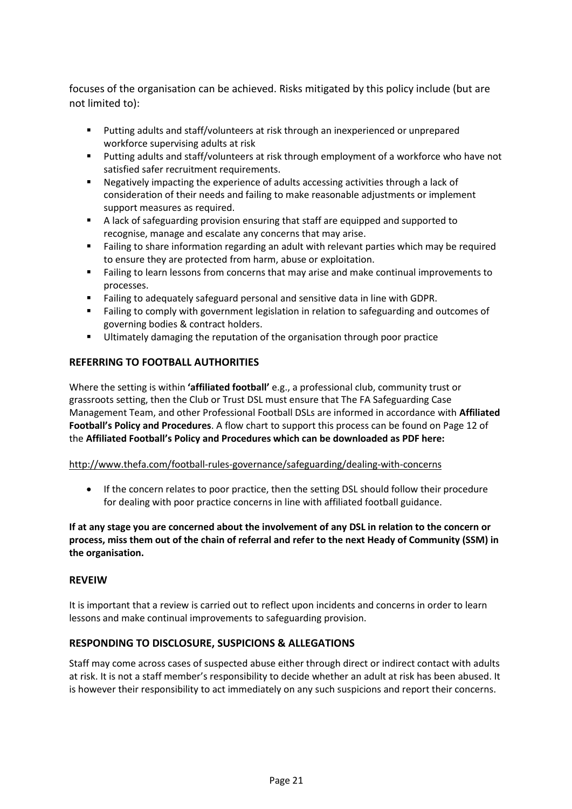focuses of the organisation can be achieved. Risks mitigated by this policy include (but are not limited to):

- Putting adults and staff/volunteers at risk through an inexperienced or unprepared workforce supervising adults at risk
- Putting adults and staff/volunteers at risk through employment of a workforce who have not satisfied safer recruitment requirements.
- Negatively impacting the experience of adults accessing activities through a lack of consideration of their needs and failing to make reasonable adjustments or implement support measures as required.
- A lack of safeguarding provision ensuring that staff are equipped and supported to recognise, manage and escalate any concerns that may arise.
- Failing to share information regarding an adult with relevant parties which may be required to ensure they are protected from harm, abuse or exploitation.
- Failing to learn lessons from concerns that may arise and make continual improvements to processes.
- Failing to adequately safeguard personal and sensitive data in line with GDPR.
- Failing to comply with government legislation in relation to safeguarding and outcomes of governing bodies & contract holders.
- **■** Ultimately damaging the reputation of the organisation through poor practice

#### <span id="page-27-0"></span>**REFERRING TO FOOTBALL AUTHORITIES**

Where the setting is within **'affiliated football'** e.g., a professional club, community trust or grassroots setting, then the Club or Trust DSL must ensure that The FA Safeguarding Case Management Team, and other Professional Football DSLs are informed in accordance with **Affiliated Football's Policy and Procedures**. A flow chart to support this process can be found on Page 12 of the **Affiliated Football's Policy and Procedures which can be downloaded as PDF here:**

#### <http://www.thefa.com/football-rules-governance/safeguarding/dealing-with-concerns>

• If the concern relates to poor practice, then the setting DSL should follow their procedure for dealing with poor practice concerns in line with affiliated football guidance.

**If at any stage you are concerned about the involvement of any DSL in relation to the concern or process, miss them out of the chain of referral and refer to the next Heady of Community (SSM) in the organisation.** 

#### <span id="page-27-1"></span>**REVEIW**

It is important that a review is carried out to reflect upon incidents and concerns in order to learn lessons and make continual improvements to safeguarding provision.

#### <span id="page-27-2"></span>**RESPONDING TO DISCLOSURE, SUSPICIONS & ALLEGATIONS**

Staff may come across cases of suspected abuse either through direct or indirect contact with adults at risk. It is not a staff member's responsibility to decide whether an adult at risk has been abused. It is however their responsibility to act immediately on any such suspicions and report their concerns.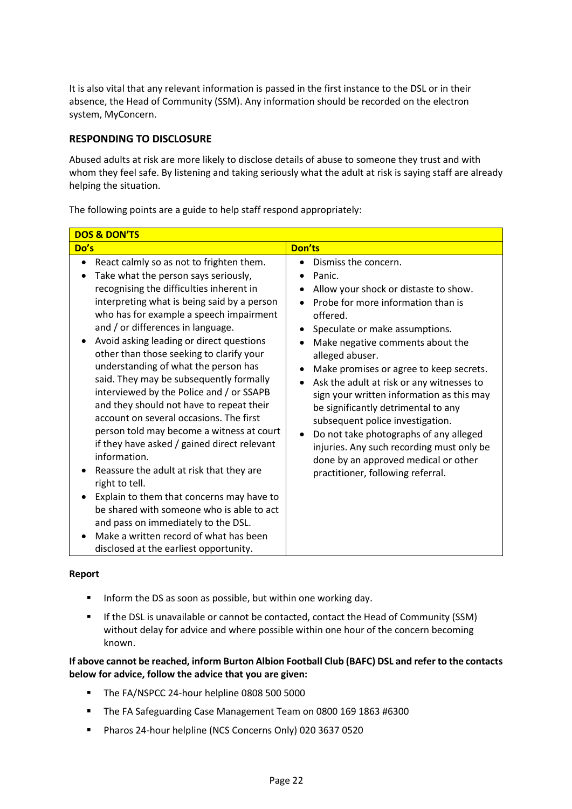It is also vital that any relevant information is passed in the first instance to the DSL or in their absence, the Head of Community (SSM). Any information should be recorded on the electron system, MyConcern.

#### <span id="page-28-0"></span>**RESPONDING TO DISCLOSURE**

Abused adults at risk are more likely to disclose details of abuse to someone they trust and with whom they feel safe. By listening and taking seriously what the adult at risk is saying staff are already helping the situation.

The following points are a guide to help staff respond appropriately:

| <b>DOS &amp; DON'TS</b>                                                                                                                                                                                                                                                                                                                                                                                                                                                                                                                                                                                                                                                                                                                                                                                                                                                                                                                                                       |                                                                                                                                                                                                                                                                                                                                                                                                                                                                                                                                                                                                                     |  |  |
|-------------------------------------------------------------------------------------------------------------------------------------------------------------------------------------------------------------------------------------------------------------------------------------------------------------------------------------------------------------------------------------------------------------------------------------------------------------------------------------------------------------------------------------------------------------------------------------------------------------------------------------------------------------------------------------------------------------------------------------------------------------------------------------------------------------------------------------------------------------------------------------------------------------------------------------------------------------------------------|---------------------------------------------------------------------------------------------------------------------------------------------------------------------------------------------------------------------------------------------------------------------------------------------------------------------------------------------------------------------------------------------------------------------------------------------------------------------------------------------------------------------------------------------------------------------------------------------------------------------|--|--|
| Do's                                                                                                                                                                                                                                                                                                                                                                                                                                                                                                                                                                                                                                                                                                                                                                                                                                                                                                                                                                          | <b>Don'ts</b>                                                                                                                                                                                                                                                                                                                                                                                                                                                                                                                                                                                                       |  |  |
| React calmly so as not to frighten them.<br>Take what the person says seriously,<br>٠<br>recognising the difficulties inherent in<br>interpreting what is being said by a person<br>who has for example a speech impairment<br>and / or differences in language.<br>Avoid asking leading or direct questions<br>other than those seeking to clarify your<br>understanding of what the person has<br>said. They may be subsequently formally<br>interviewed by the Police and / or SSAPB<br>and they should not have to repeat their<br>account on several occasions. The first<br>person told may become a witness at court<br>if they have asked / gained direct relevant<br>information.<br>Reassure the adult at risk that they are<br>right to tell.<br>Explain to them that concerns may have to<br>be shared with someone who is able to act<br>and pass on immediately to the DSL.<br>Make a written record of what has been<br>disclosed at the earliest opportunity. | Dismiss the concern.<br>Panic.<br>Allow your shock or distaste to show.<br>Probe for more information than is<br>offered.<br>Speculate or make assumptions.<br>Make negative comments about the<br>alleged abuser.<br>Make promises or agree to keep secrets.<br>Ask the adult at risk or any witnesses to<br>sign your written information as this may<br>be significantly detrimental to any<br>subsequent police investigation.<br>Do not take photographs of any alleged<br>$\bullet$<br>injuries. Any such recording must only be<br>done by an approved medical or other<br>practitioner, following referral. |  |  |

#### <span id="page-28-1"></span>**Report**

- Inform the DS as soon as possible, but within one working day.
- **E** If the DSL is unavailable or cannot be contacted, contact the Head of Community (SSM) without delay for advice and where possible within one hour of the concern becoming known.

#### **If above cannot be reached, inform Burton Albion Football Club (BAFC) DSL and refer to the contacts below for advice, follow the advice that you are given:**

- The FA/NSPCC 24-hour helpline 0808 500 5000
- The FA Safeguarding Case Management Team on 0800 169 1863 #6300
- Pharos 24-hour helpline (NCS Concerns Only) 020 3637 0520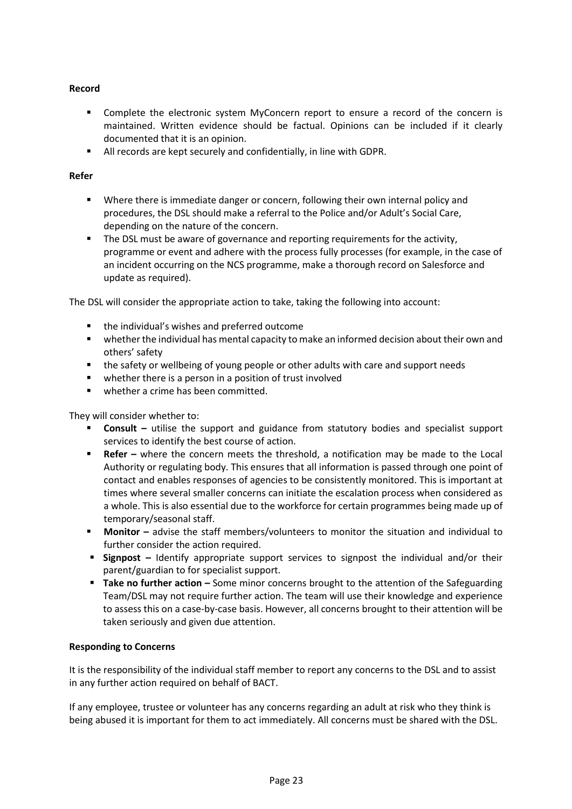#### **Record**

- Complete the electronic system MyConcern report to ensure a record of the concern is maintained. Written evidence should be factual. Opinions can be included if it clearly documented that it is an opinion.
- All records are kept securely and confidentially, in line with GDPR.

#### **Refer**

- Where there is immediate danger or concern, following their own internal policy and procedures, the DSL should make a referral to the Police and/or Adult's Social Care, depending on the nature of the concern.
- **•** The DSL must be aware of governance and reporting requirements for the activity, programme or event and adhere with the process fully processes (for example, in the case of an incident occurring on the NCS programme, make a thorough record on Salesforce and update as required).

The DSL will consider the appropriate action to take, taking the following into account:

- the individual's wishes and preferred outcome
- whether the individual has mental capacity to make an informed decision about their own and others' safety
- the safety or wellbeing of young people or other adults with care and support needs
- whether there is a person in a position of trust involved
- whether a crime has been committed.

They will consider whether to:

- **Consult** utilise the support and guidance from statutory bodies and specialist support services to identify the best course of action.
- **Refer –** where the concern meets the threshold, a notification may be made to the Local Authority or regulating body. This ensures that all information is passed through one point of contact and enables responses of agencies to be consistently monitored. This is important at times where several smaller concerns can initiate the escalation process when considered as a whole. This is also essential due to the workforce for certain programmes being made up of temporary/seasonal staff.
- **■** Monitor advise the staff members/volunteers to monitor the situation and individual to further consider the action required.
- **E** Signpost Identify appropriate support services to signpost the individual and/or their parent/guardian to for specialist support.
- **Take no further action –** Some minor concerns brought to the attention of the Safeguarding Team/DSL may not require further action. The team will use their knowledge and experience to assess this on a case-by-case basis. However, all concerns brought to their attention will be taken seriously and given due attention.

#### <span id="page-29-0"></span>**Responding to Concerns**

It is the responsibility of the individual staff member to report any concerns to the DSL and to assist in any further action required on behalf of BACT.

If any employee, trustee or volunteer has any concerns regarding an adult at risk who they think is being abused it is important for them to act immediately. All concerns must be shared with the DSL.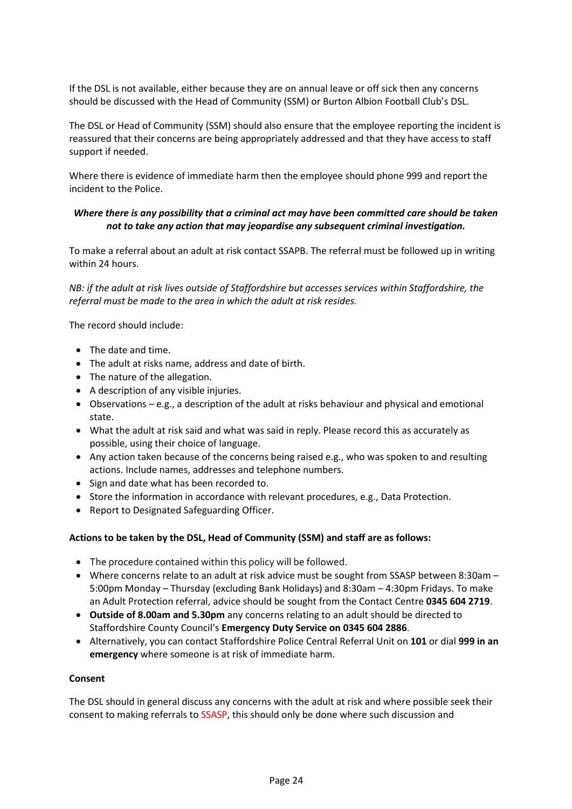If the DSL is not available, either because they are on annual leave or off sick then any concerns should be discussed with the Head of Community (SSM) or Burton Albion Football Club's DSL.

The DSL or Head of Community (SSM) should also ensure that the employee reporting the incident is reassured that their concerns are being appropriately addressed and that they have access to staff support if needed.

Where there is evidence of immediate harm then the employee should phone 999 and report the incident to the Police.

#### *Where there is any possibility that a criminal act may have been committed care should be taken not to take any action that may jeopardise any subsequent criminal investigation.*

To make a referral about an adult at risk contact SSAPB. The referral must be followed up in writing within 24 hours.

*NB: if the adult at risk lives outside of Staffordshire but accesses services within Staffordshire, the referral must be made to the area in which the adult at risk resides.* 

The record should include:

- The date and time.
- The adult at risks name, address and date of birth.
- The nature of the allegation.
- A description of any visible injuries.
- Observations e.g., a description of the adult at risks behaviour and physical and emotional state.
- What the adult at risk said and what was said in reply. Please record this as accurately as possible, using their choice of language.
- Any action taken because of the concerns being raised e.g., who was spoken to and resulting actions. Include names, addresses and telephone numbers.
- Sign and date what has been recorded to.
- Store the information in accordance with relevant procedures, e.g., Data Protection.
- Report to Designated Safeguarding Officer.

#### <span id="page-30-0"></span>**Actions to be taken by the DSL, Head of Community (SSM) and staff are as follows:**

- The procedure contained within this policy will be followed.
- Where concerns relate to an adult at risk advice must be sought from SSASP between 8:30am 5:00pm Monday – Thursday (excluding Bank Holidays) and 8:30am – 4:30pm Fridays. To make an Adult Protection referral, advice should be sought from the Contact Centre **0345 604 2719**.
- **Outside of 8.00am and 5.30pm** any concerns relating to an adult should be directed to Staffordshire County Council's **Emergency Duty Service on 0345 604 2886**.
- Alternatively, you can contact Staffordshire Police Central Referral Unit on **101** or dial **999 in an emergency** where someone is at risk of immediate harm.

#### <span id="page-30-1"></span>**Consent**

The DSL should in general discuss any concerns with the adult at risk and where possible seek their consent to making referrals to SSASP, this should only be done where such discussion and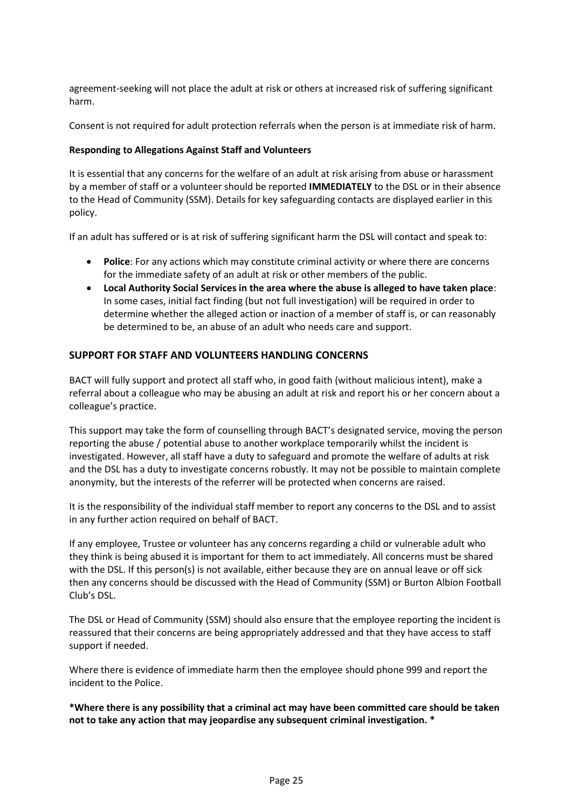agreement-seeking will not place the adult at risk or others at increased risk of suffering significant harm.

Consent is not required for adult protection referrals when the person is at immediate risk of harm.

#### <span id="page-31-0"></span>**Responding to Allegations Against Staff and Volunteers**

It is essential that any concerns for the welfare of an adult at risk arising from abuse or harassment by a member of staff or a volunteer should be reported **IMMEDIATELY** to the DSL or in their absence to the Head of Community (SSM). Details for key safeguarding contacts are displayed earlier in this policy.

If an adult has suffered or is at risk of suffering significant harm the DSL will contact and speak to:

- **Police**: For any actions which may constitute criminal activity or where there are concerns for the immediate safety of an adult at risk or other members of the public.
- **Local Authority Social Services in the area where the abuse is alleged to have taken place**: In some cases, initial fact finding (but not full investigation) will be required in order to determine whether the alleged action or inaction of a member of staff is, or can reasonably be determined to be, an abuse of an adult who needs care and support.

#### <span id="page-31-1"></span>**SUPPORT FOR STAFF AND VOLUNTEERS HANDLING CONCERNS**

BACT will fully support and protect all staff who, in good faith (without malicious intent), make a referral about a colleague who may be abusing an adult at risk and report his or her concern about a colleague's practice.

This support may take the form of counselling through BACT's designated service, moving the person reporting the abuse / potential abuse to another workplace temporarily whilst the incident is investigated. However, all staff have a duty to safeguard and promote the welfare of adults at risk and the DSL has a duty to investigate concerns robustly. It may not be possible to maintain complete anonymity, but the interests of the referrer will be protected when concerns are raised.

It is the responsibility of the individual staff member to report any concerns to the DSL and to assist in any further action required on behalf of BACT.

If any employee, Trustee or volunteer has any concerns regarding a child or vulnerable adult who they think is being abused it is important for them to act immediately. All concerns must be shared with the DSL. If this person(s) is not available, either because they are on annual leave or off sick then any concerns should be discussed with the Head of Community (SSM) or Burton Albion Football Club's DSL.

The DSL or Head of Community (SSM) should also ensure that the employee reporting the incident is reassured that their concerns are being appropriately addressed and that they have access to staff support if needed.

Where there is evidence of immediate harm then the employee should phone 999 and report the incident to the Police.

**\*Where there is any possibility that a criminal act may have been committed care should be taken not to take any action that may jeopardise any subsequent criminal investigation. \***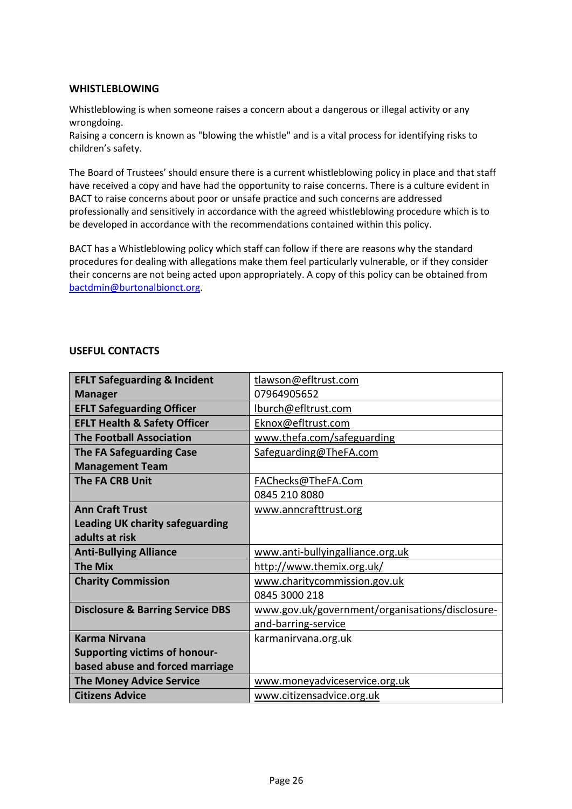#### <span id="page-32-0"></span>**WHISTLEBLOWING**

Whistleblowing is when someone raises a concern about a dangerous or illegal activity or any wrongdoing.

Raising a concern is known as "blowing the whistle" and is a vital process for identifying risks to children's safety.

The Board of Trustees' should ensure there is a current whistleblowing policy in place and that staff have received a copy and have had the opportunity to raise concerns. There is a culture evident in BACT to raise concerns about poor or unsafe practice and such concerns are addressed professionally and sensitively in accordance with the agreed whistleblowing procedure which is to be developed in accordance with the recommendations contained within this policy.

BACT has a Whistleblowing policy which staff can follow if there are reasons why the standard procedures for dealing with allegations make them feel particularly vulnerable, or if they consider their concerns are not being acted upon appropriately. A copy of this policy can be obtained from [bactdmin@burtonalbionct.org.](mailto:bactdmin@burtonalbionct.org)

#### **USEFUL CONTACTS**

| <b>EFLT Safeguarding &amp; Incident</b>     | tlawson@efltrust.com                            |  |
|---------------------------------------------|-------------------------------------------------|--|
| <b>Manager</b>                              | 07964905652                                     |  |
| <b>EFLT Safeguarding Officer</b>            | lburch@efltrust.com                             |  |
| <b>EFLT Health &amp; Safety Officer</b>     | Eknox@efltrust.com                              |  |
| <b>The Football Association</b>             | www.thefa.com/safeguarding                      |  |
| <b>The FA Safeguarding Case</b>             | Safeguarding@TheFA.com                          |  |
| <b>Management Team</b>                      |                                                 |  |
| <b>The FA CRB Unit</b>                      | FAChecks@TheFA.Com                              |  |
|                                             | 0845 210 8080                                   |  |
| <b>Ann Craft Trust</b>                      | www.anncrafttrust.org                           |  |
| <b>Leading UK charity safeguarding</b>      |                                                 |  |
| adults at risk                              |                                                 |  |
| <b>Anti-Bullying Alliance</b>               | www.anti-bullyingalliance.org.uk                |  |
| <b>The Mix</b>                              | http://www.themix.org.uk/                       |  |
| <b>Charity Commission</b>                   | www.charitycommission.gov.uk                    |  |
|                                             | 0845 3000 218                                   |  |
| <b>Disclosure &amp; Barring Service DBS</b> | www.gov.uk/government/organisations/disclosure- |  |
|                                             | and-barring-service                             |  |
| <b>Karma Nirvana</b>                        | karmanirvana.org.uk                             |  |
| <b>Supporting victims of honour-</b>        |                                                 |  |
| based abuse and forced marriage             |                                                 |  |
| <b>The Money Advice Service</b>             | www.moneyadviceservice.org.uk                   |  |
| <b>Citizens Advice</b>                      | www.citizensadvice.org.uk                       |  |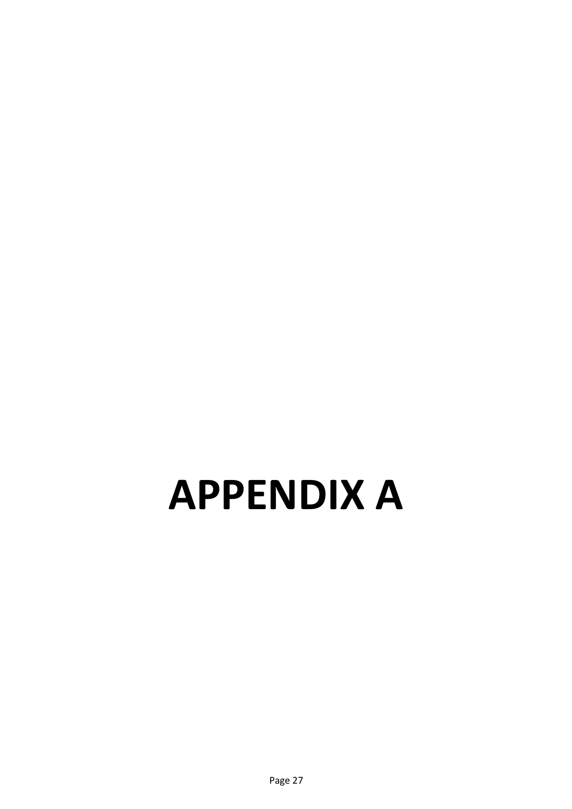# <span id="page-33-0"></span>**APPENDIX A**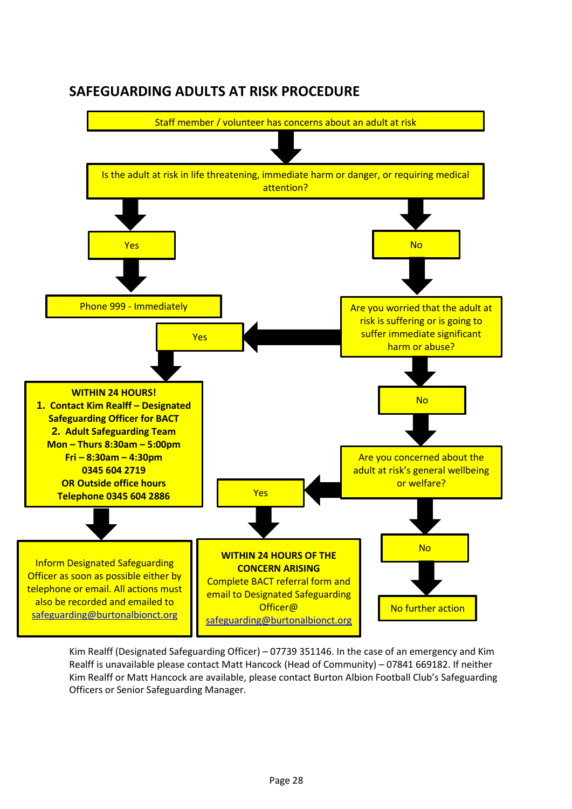

## <span id="page-34-0"></span>**SAFEGUARDING ADULTS AT RISK PROCEDURE**

Kim Realff (Designated Safeguarding Officer) – 07739 351146. In the case of an emergency and Kim Realff is unavailable please contact Matt Hancock (Head of Community) – 07841 669182. If neither Kim Realff or Matt Hancock are available, please contact Burton Albion Football Club's Safeguarding Officers or Senior Safeguarding Manager.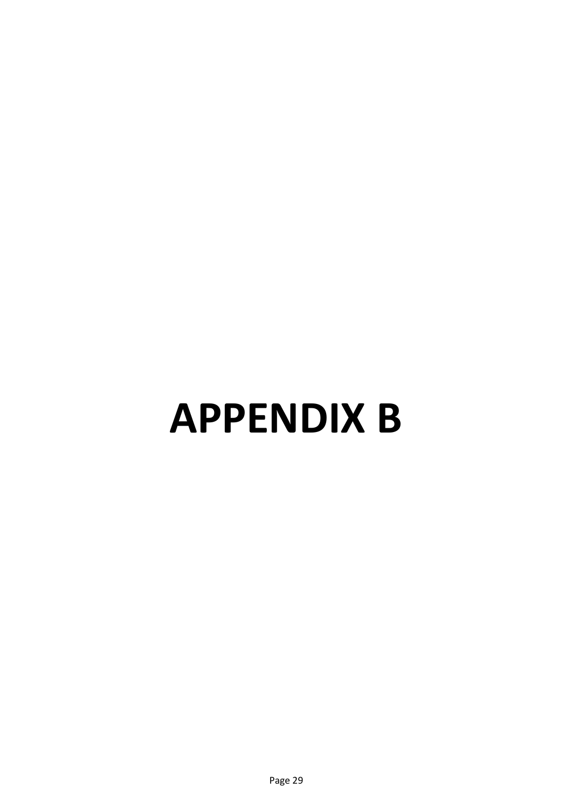# <span id="page-35-0"></span>**APPENDIX B**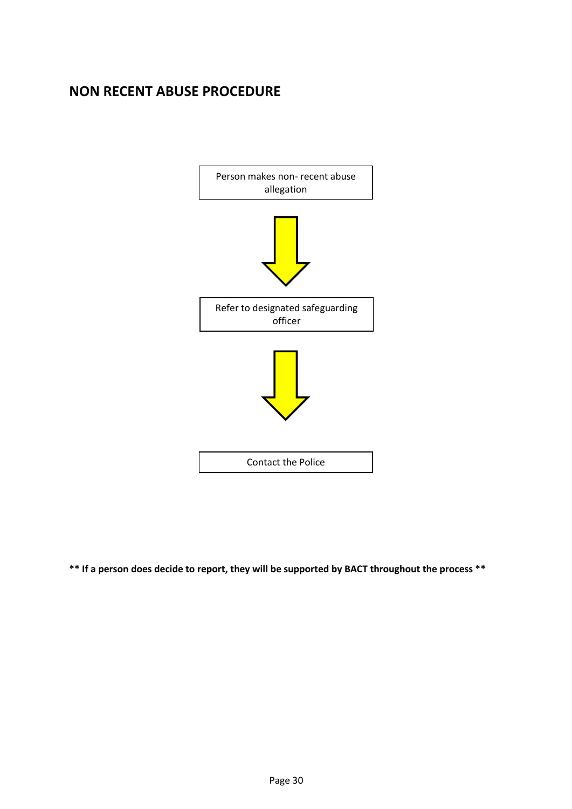## <span id="page-36-0"></span>**NON RECENT ABUSE PROCEDURE**



**\*\* If a person does decide to report, they will be supported by BACT throughout the process \*\***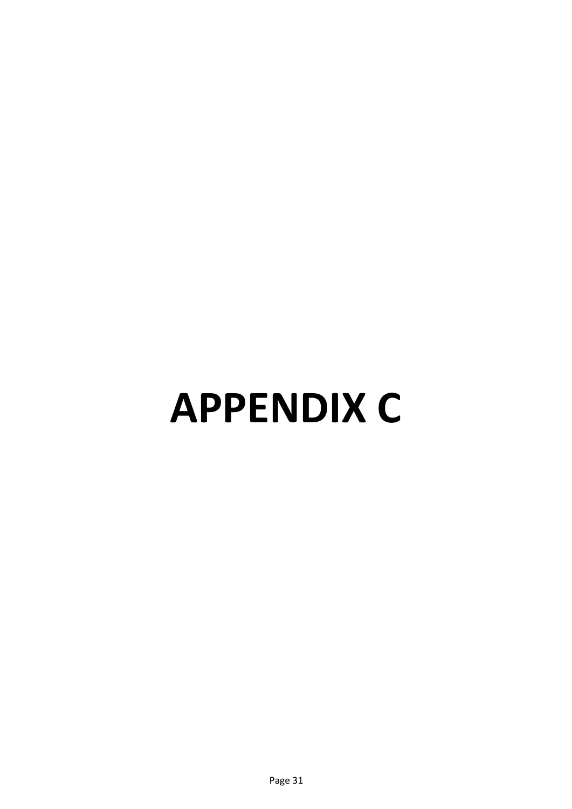# <span id="page-37-0"></span>**APPENDIX C**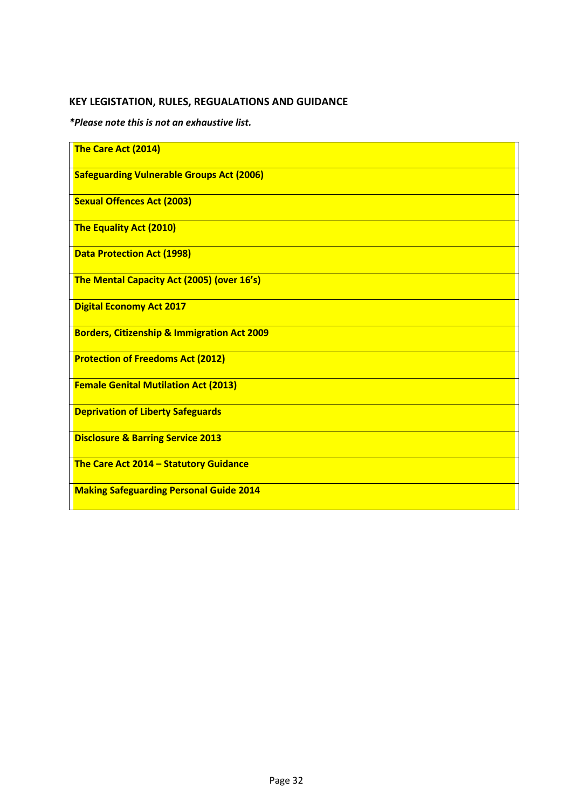## <span id="page-38-0"></span>**KEY LEGISTATION, RULES, REGUALATIONS AND GUIDANCE**

*\*Please note this is not an exhaustive list.*

| The Care Act (2014)                                    |
|--------------------------------------------------------|
| <b>Safeguarding Vulnerable Groups Act (2006)</b>       |
| <b>Sexual Offences Act (2003)</b>                      |
| The Equality Act (2010)                                |
| <b>Data Protection Act (1998)</b>                      |
| The Mental Capacity Act (2005) (over 16's)             |
| <b>Digital Economy Act 2017</b>                        |
| <b>Borders, Citizenship &amp; Immigration Act 2009</b> |
| <b>Protection of Freedoms Act (2012)</b>               |
| <b>Female Genital Mutilation Act (2013)</b>            |
| <b>Deprivation of Liberty Safeguards</b>               |
| <b>Disclosure &amp; Barring Service 2013</b>           |
| The Care Act 2014 - Statutory Guidance                 |
| <b>Making Safeguarding Personal Guide 2014</b>         |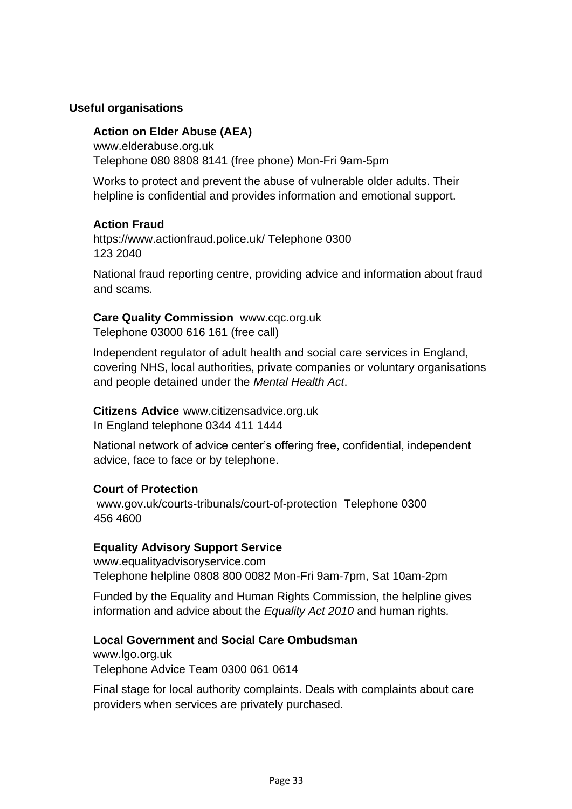## <span id="page-39-0"></span>**Useful organisations**

### **Action on Elder Abuse (AEA)**

[www.elderabuse.org.uk](http://www.elderabuse.org.uk/) Telephone 080 8808 8141 (free phone) Mon-Fri 9am-5pm

Works to protect and prevent the abuse of vulnerable older adults. Their helpline is confidential and provides information and emotional support.

### **Action Fraud**

<https://www.actionfraud.police.uk/> Telephone 0300 123 2040

National fraud reporting centre, providing advice and information about fraud and scams.

## **Care Quality Commission** [www.cqc.org.uk](http://www.cqc.org.uk/)

Telephone 03000 616 161 (free call)

Independent regulator of adult health and social care services in England, covering NHS, local authorities, private companies or voluntary organisations and people detained under the *Mental Health Act*.

**Citizens Advice** [www.citizensadvice.org.uk](http://www.citizensadvice.org.uk/) In England telephone 0344 411 1444

National network of advice center's offering free, confidential, independent advice, face to face or by telephone.

## **Court of Protection**

www.gov.uk/courts-tribunals/court-of-protection Telephone 0300 456 4600

## **Equality Advisory Support Service**

[www.equalityadvisoryservice.com](http://www.equalityadvisoryservice.com/) Telephone helpline 0808 800 0082 Mon-Fri 9am-7pm, Sat 10am-2pm

Funded by the Equality and Human Rights Commission, the helpline gives information and advice about the *Equality Act 2010* and human rights*.* 

## **Local Government and Social Care Ombudsman**

[www.lgo.org.uk](http://www.lgo.org.uk/)  Telephone Advice Team 0300 061 0614

Final stage for local authority complaints. Deals with complaints about care providers when services are privately purchased.